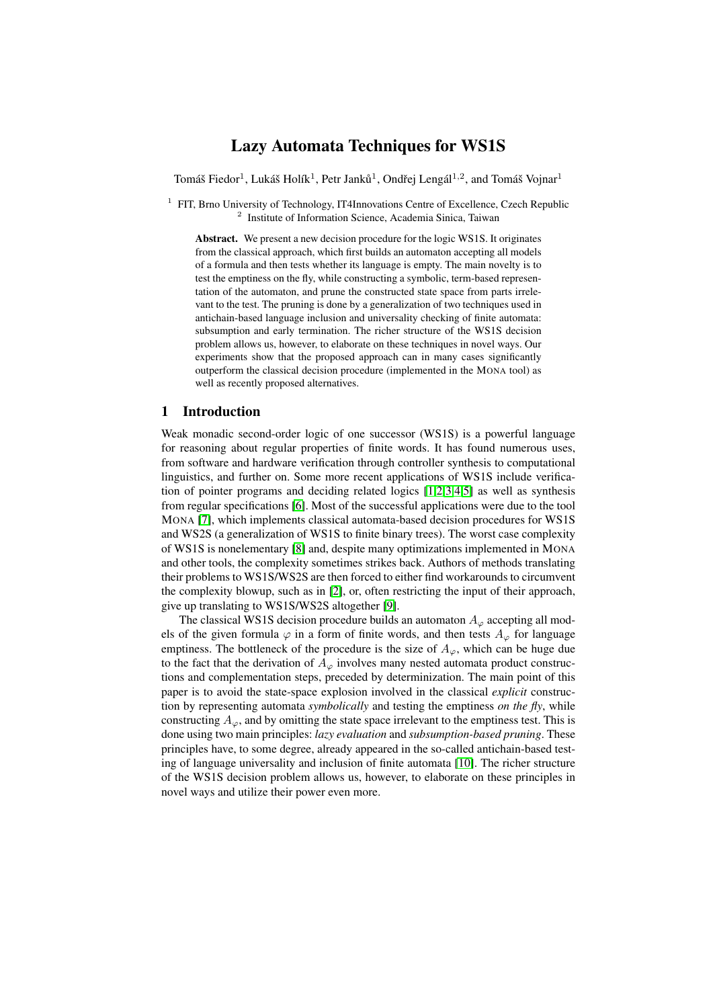# Lazy Automata Techniques for WS1S

Tomáš Fiedor $^1$ , Lukáš Holík $^1$ , Petr Janků $^1$ , Ondřej Lengál $^{1,2}$ , and Tomáš Vojnar $^1$ 

<sup>1</sup> FIT, Brno University of Technology, IT4Innovations Centre of Excellence, Czech Republic <sup>2</sup> Institute of Information Science, Academia Sinica, Taiwan

Abstract. We present a new decision procedure for the logic WS1S. It originates from the classical approach, which first builds an automaton accepting all models of a formula and then tests whether its language is empty. The main novelty is to test the emptiness on the fly, while constructing a symbolic, term-based representation of the automaton, and prune the constructed state space from parts irrelevant to the test. The pruning is done by a generalization of two techniques used in antichain-based language inclusion and universality checking of finite automata: subsumption and early termination. The richer structure of the WS1S decision problem allows us, however, to elaborate on these techniques in novel ways. Our experiments show that the proposed approach can in many cases significantly outperform the classical decision procedure (implemented in the MONA tool) as well as recently proposed alternatives.

## 1 Introduction

Weak monadic second-order logic of one successor (WS1S) is a powerful language for reasoning about regular properties of finite words. It has found numerous uses, from software and hardware verification through controller synthesis to computational linguistics, and further on. Some more recent applications of WS1S include verification of pointer programs and deciding related logics [\[1,](#page-15-0)[2,](#page-15-1)[3,](#page-15-2)[4,](#page-15-3)[5\]](#page-15-4) as well as synthesis from regular specifications [\[6\]](#page-15-5). Most of the successful applications were due to the tool MONA [\[7\]](#page-15-6), which implements classical automata-based decision procedures for WS1S and WS2S (a generalization of WS1S to finite binary trees). The worst case complexity of WS1S is nonelementary [\[8\]](#page-15-7) and, despite many optimizations implemented in MONA and other tools, the complexity sometimes strikes back. Authors of methods translating their problems to WS1S/WS2S are then forced to either find workarounds to circumvent the complexity blowup, such as in [\[2\]](#page-15-1), or, often restricting the input of their approach, give up translating to WS1S/WS2S altogether [\[9\]](#page-15-8).

The classical WS1S decision procedure builds an automaton  $A_{\varphi}$  accepting all models of the given formula  $\varphi$  in a form of finite words, and then tests  $A_{\varphi}$  for language emptiness. The bottleneck of the procedure is the size of  $A_{\varphi}$ , which can be huge due to the fact that the derivation of  $A_{\varphi}$  involves many nested automata product constructions and complementation steps, preceded by determinization. The main point of this paper is to avoid the state-space explosion involved in the classical *explicit* construction by representing automata *symbolically* and testing the emptiness *on the fly*, while constructing  $A_{\varphi}$ , and by omitting the state space irrelevant to the emptiness test. This is done using two main principles: *lazy evaluation* and *subsumption-based pruning*. These principles have, to some degree, already appeared in the so-called antichain-based testing of language universality and inclusion of finite automata [\[10\]](#page-15-9). The richer structure of the WS1S decision problem allows us, however, to elaborate on these principles in novel ways and utilize their power even more.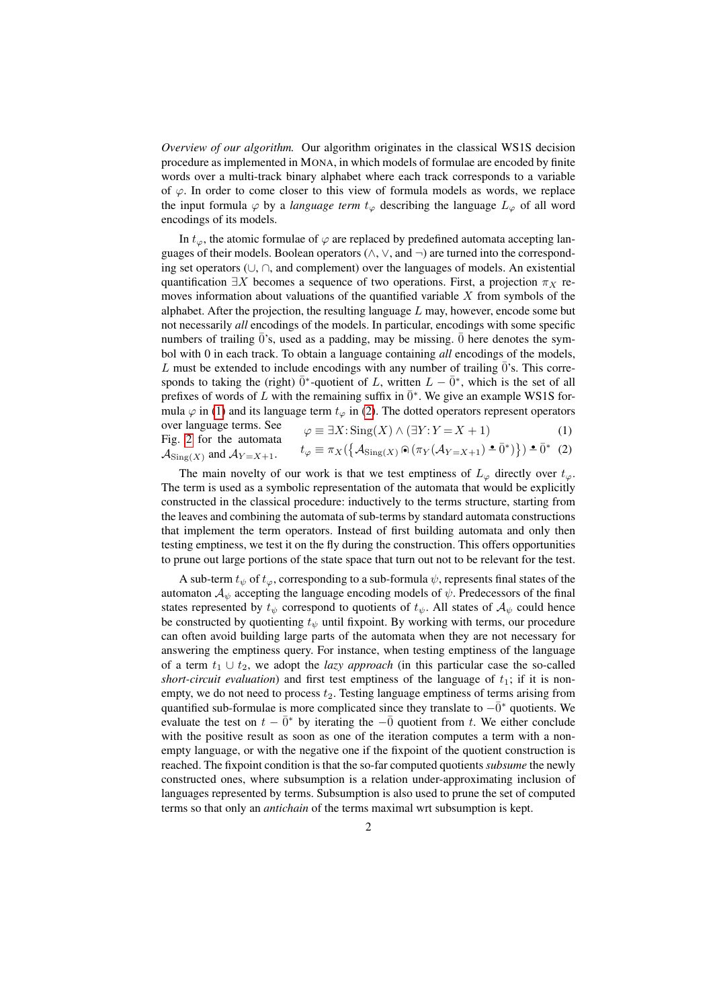*Overview of our algorithm.* Our algorithm originates in the classical WS1S decision procedure as implemented in MONA, in which models of formulae are encoded by finite words over a multi-track binary alphabet where each track corresponds to a variable of  $\varphi$ . In order to come closer to this view of formula models as words, we replace the input formula  $\varphi$  by a *language term*  $t_{\varphi}$  describing the language  $L_{\varphi}$  of all word encodings of its models.

In  $t_{\varphi}$ , the atomic formulae of  $\varphi$  are replaced by predefined automata accepting languages of their models. Boolean operators (∧, ∨, and ¬) are turned into the corresponding set operators (∪, ∩, and complement) over the languages of models. An existential quantification  $\exists X$  becomes a sequence of two operations. First, a projection  $\pi_X$  removes information about valuations of the quantified variable  $X$  from symbols of the alphabet. After the projection, the resulting language  $L$  may, however, encode some but not necessarily *all* encodings of the models. In particular, encodings with some specific numbers of trailing  $\overline{0}$ 's, used as a padding, may be missing.  $\overline{0}$  here denotes the symbol with 0 in each track. To obtain a language containing *all* encodings of the models, L must be extended to include encodings with any number of trailing  $\bar{0}$ 's. This corresponds to taking the (right)  $\bar{0}^*$ -quotient of L, written  $L - \bar{0}^*$ , which is the set of all prefixes of words of L with the remaining suffix in  $\bar{0}^*$ . We give an example WS1S formula  $\varphi$  in [\(1\)](#page-1-0) and its language term  $t_{\varphi}$  in [\(2\)](#page-1-1). The dotted operators represent operators  $\varphi \equiv \exists X: \text{Sing}(X) \wedge (\exists Y: Y = X + 1)$  (1) over language terms. See  $\frac{5}{2}$  for the

<span id="page-1-1"></span><span id="page-1-0"></span>Fig. 2 for the automata  

$$
\mathcal{A}_{\text{Sing}(X)} \text{ and } \mathcal{A}_{Y=X+1}.
$$

$$
t_{\varphi} \equiv \pi_X(\{\mathcal{A}_{\text{Sing}(X)} \cap (\pi_Y(\mathcal{A}_{Y=X+1}) \triangleq \overline{0}^*)\}) \triangleq \overline{0}^* \tag{2}
$$

The main novelty of our work is that we test emptiness of  $L_\varphi$  directly over  $t_\varphi$ . The term is used as a symbolic representation of the automata that would be explicitly constructed in the classical procedure: inductively to the terms structure, starting from the leaves and combining the automata of sub-terms by standard automata constructions that implement the term operators. Instead of first building automata and only then testing emptiness, we test it on the fly during the construction. This offers opportunities to prune out large portions of the state space that turn out not to be relevant for the test.

A sub-term  $t_{\psi}$  of  $t_{\varphi}$ , corresponding to a sub-formula  $\psi$ , represents final states of the automaton  $A_{\psi}$  accepting the language encoding models of  $\psi$ . Predecessors of the final states represented by  $t_{\psi}$  correspond to quotients of  $t_{\psi}$ . All states of  $\mathcal{A}_{\psi}$  could hence be constructed by quotienting  $t_{\psi}$  until fixpoint. By working with terms, our procedure can often avoid building large parts of the automata when they are not necessary for answering the emptiness query. For instance, when testing emptiness of the language of a term  $t_1 \cup t_2$ , we adopt the *lazy approach* (in this particular case the so-called *short-circuit evaluation*) and first test emptiness of the language of  $t_1$ ; if it is nonempty, we do not need to process  $t_2$ . Testing language emptiness of terms arising from quantified sub-formulae is more complicated since they translate to  $-\bar{0}^*$  quotients. We evaluate the test on  $t - \overline{0}^*$  by iterating the  $-\overline{0}$  quotient from t. We either conclude with the positive result as soon as one of the iteration computes a term with a nonempty language, or with the negative one if the fixpoint of the quotient construction is reached. The fixpoint condition is that the so-far computed quotients *subsume* the newly constructed ones, where subsumption is a relation under-approximating inclusion of languages represented by terms. Subsumption is also used to prune the set of computed terms so that only an *antichain* of the terms maximal wrt subsumption is kept.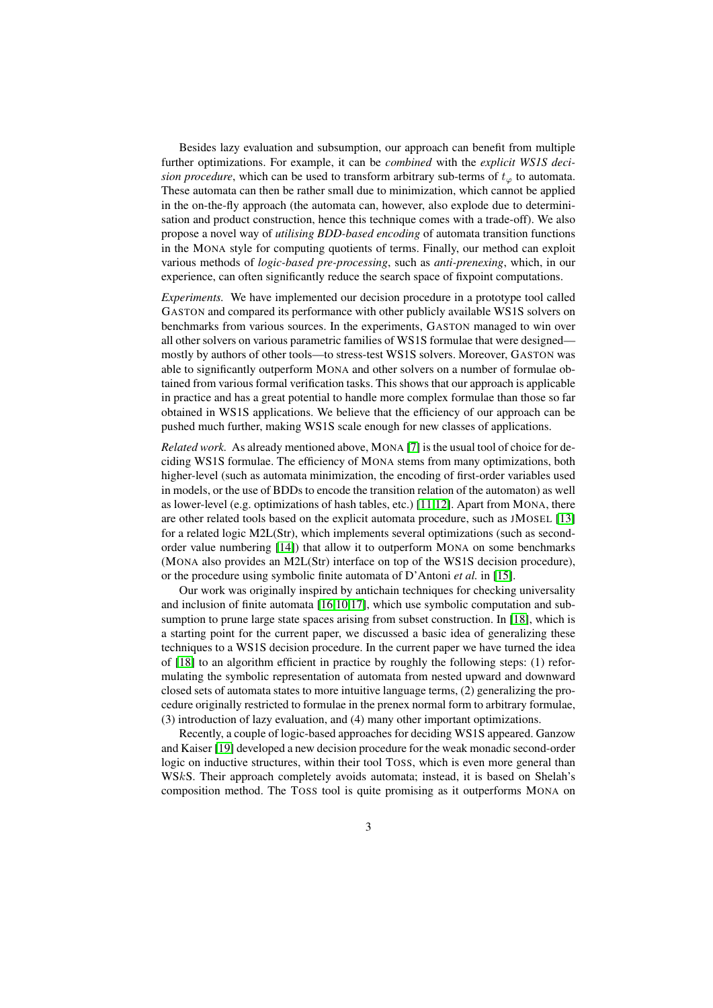Besides lazy evaluation and subsumption, our approach can benefit from multiple further optimizations. For example, it can be *combined* with the *explicit WS1S decision procedure*, which can be used to transform arbitrary sub-terms of  $t<sub>ϕ</sub>$  to automata. These automata can then be rather small due to minimization, which cannot be applied in the on-the-fly approach (the automata can, however, also explode due to determinisation and product construction, hence this technique comes with a trade-off). We also propose a novel way of *utilising BDD-based encoding* of automata transition functions in the MONA style for computing quotients of terms. Finally, our method can exploit various methods of *logic-based pre-processing*, such as *anti-prenexing*, which, in our experience, can often significantly reduce the search space of fixpoint computations.

*Experiments.* We have implemented our decision procedure in a prototype tool called GASTON and compared its performance with other publicly available WS1S solvers on benchmarks from various sources. In the experiments, GASTON managed to win over all other solvers on various parametric families of WS1S formulae that were designed mostly by authors of other tools—to stress-test WS1S solvers. Moreover, GASTON was able to significantly outperform MONA and other solvers on a number of formulae obtained from various formal verification tasks. This shows that our approach is applicable in practice and has a great potential to handle more complex formulae than those so far obtained in WS1S applications. We believe that the efficiency of our approach can be pushed much further, making WS1S scale enough for new classes of applications.

*Related work.* As already mentioned above, MONA [\[7\]](#page-15-6) is the usual tool of choice for deciding WS1S formulae. The efficiency of MONA stems from many optimizations, both higher-level (such as automata minimization, the encoding of first-order variables used in models, or the use of BDDs to encode the transition relation of the automaton) as well as lower-level (e.g. optimizations of hash tables, etc.) [\[11](#page-15-10)[,12\]](#page-15-11). Apart from MONA, there are other related tools based on the explicit automata procedure, such as JMOSEL [\[13\]](#page-15-12) for a related logic M2L(Str), which implements several optimizations (such as secondorder value numbering [\[14\]](#page-15-13)) that allow it to outperform MONA on some benchmarks (MONA also provides an M2L(Str) interface on top of the WS1S decision procedure), or the procedure using symbolic finite automata of D'Antoni *et al.* in [\[15\]](#page-15-14).

Our work was originally inspired by antichain techniques for checking universality and inclusion of finite automata [\[16](#page-15-15)[,10](#page-15-9)[,17\]](#page-15-16), which use symbolic computation and subsumption to prune large state spaces arising from subset construction. In [\[18\]](#page-15-17), which is a starting point for the current paper, we discussed a basic idea of generalizing these techniques to a WS1S decision procedure. In the current paper we have turned the idea of [\[18\]](#page-15-17) to an algorithm efficient in practice by roughly the following steps: (1) reformulating the symbolic representation of automata from nested upward and downward closed sets of automata states to more intuitive language terms, (2) generalizing the procedure originally restricted to formulae in the prenex normal form to arbitrary formulae, (3) introduction of lazy evaluation, and (4) many other important optimizations.

Recently, a couple of logic-based approaches for deciding WS1S appeared. Ganzow and Kaiser [\[19\]](#page-15-18) developed a new decision procedure for the weak monadic second-order logic on inductive structures, within their tool TOSS, which is even more general than WSkS. Their approach completely avoids automata; instead, it is based on Shelah's composition method. The TOSS tool is quite promising as it outperforms MONA on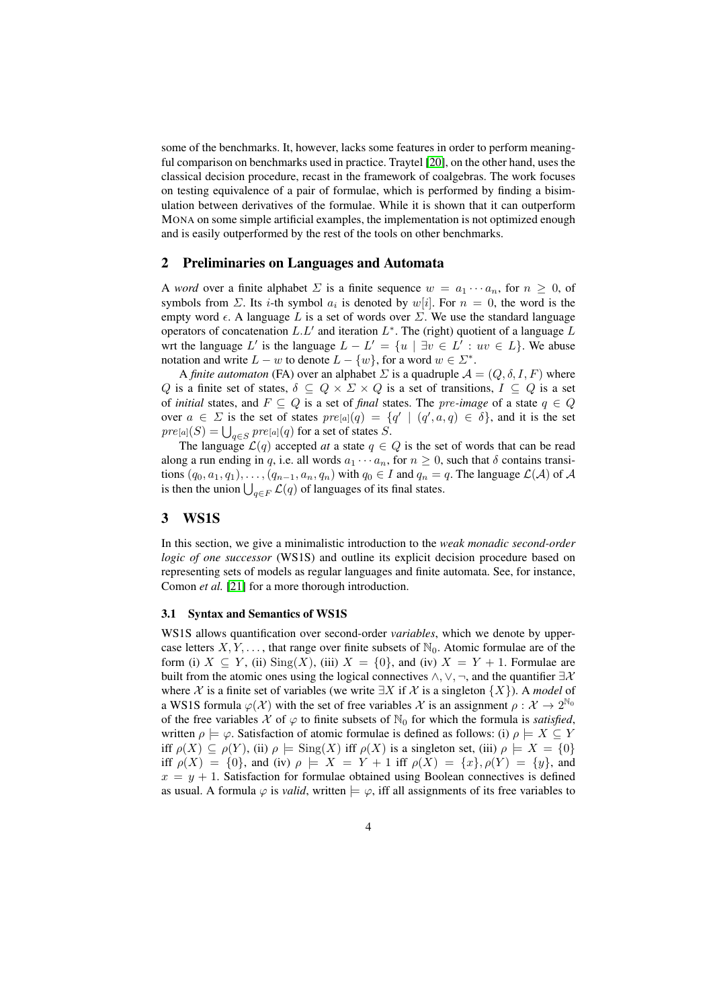some of the benchmarks. It, however, lacks some features in order to perform meaningful comparison on benchmarks used in practice. Traytel [\[20\]](#page-16-0), on the other hand, uses the classical decision procedure, recast in the framework of coalgebras. The work focuses on testing equivalence of a pair of formulae, which is performed by finding a bisimulation between derivatives of the formulae. While it is shown that it can outperform MONA on some simple artificial examples, the implementation is not optimized enough and is easily outperformed by the rest of the tools on other benchmarks.

### 2 Preliminaries on Languages and Automata

A *word* over a finite alphabet  $\Sigma$  is a finite sequence  $w = a_1 \cdots a_n$ , for  $n \geq 0$ , of symbols from  $\Sigma$ . Its *i*-th symbol  $a_i$  is denoted by  $w[i]$ . For  $n = 0$ , the word is the empty word  $\epsilon$ . A language L is a set of words over  $\Sigma$ . We use the standard language operators of concatenation  $L.L'$  and iteration  $L^*$ . The (right) quotient of a language  $L$ wrt the language L' is the language  $L - L' = \{u \mid \exists v \in L' : uv \in L\}$ . We abuse notation and write  $L - w$  to denote  $L - \{w\}$ , for a word  $w \in \Sigma^*$ .

A *finite automaton* (FA) over an alphabet  $\Sigma$  is a quadruple  $\mathcal{A} = (Q, \delta, I, F)$  where Q is a finite set of states,  $\delta \subseteq Q \times \Sigma \times Q$  is a set of transitions,  $I \subseteq Q$  is a set of *initial* states, and  $F \subseteq Q$  is a set of *final* states. The *pre-image* of a state  $q \in Q$ over  $a \in \Sigma$  is the set of states  $pre[a](q) = \{q' \mid (q', a, q) \in \delta\}$ , and it is the set  $pre[a](S) = \bigcup_{q \in S} pre[a](q)$  for a set of states S.

The language  $\mathcal{L}(q)$  accepted *at* a state  $q \in Q$  is the set of words that can be read along a run ending in q, i.e. all words  $a_1 \cdots a_n$ , for  $n \geq 0$ , such that  $\delta$  contains transitions  $(q_0, a_1, q_1), \ldots, (q_{n-1}, a_n, q_n)$  with  $q_0 \in I$  and  $q_n = q$ . The language  $\mathcal{L}(\mathcal{A})$  of  $\mathcal{A}$ is then the union  $\bigcup_{q \in F} \mathcal{L}(q)$  of languages of its final states.

## 3 WS1S

In this section, we give a minimalistic introduction to the *weak monadic second-order logic of one successor* (WS1S) and outline its explicit decision procedure based on representing sets of models as regular languages and finite automata. See, for instance, Comon *et al.* [\[21\]](#page-16-1) for a more thorough introduction.

#### 3.1 Syntax and Semantics of WS1S

WS1S allows quantification over second-order *variables*, which we denote by uppercase letters  $X, Y, \ldots$ , that range over finite subsets of  $\mathbb{N}_0$ . Atomic formulae are of the form (i)  $X \subseteq Y$ , (ii)  $\text{Sing}(X)$ , (iii)  $X = \{0\}$ , and (iv)  $X = Y + 1$ . Formulae are built from the atomic ones using the logical connectives  $\wedge$ ,  $\vee$ ,  $\neg$ , and the quantifier  $\exists \mathcal{X}$ where X is a finite set of variables (we write  $\exists X$  if X is a singleton  $\{X\}$ ). A *model* of a WS1S formula  $\varphi(\mathcal{X})$  with the set of free variables  $\mathcal{X}$  is an assignment  $\rho : \mathcal{X} \to 2^{\mathbb{N}_0}$ of the free variables X of  $\varphi$  to finite subsets of  $\mathbb{N}_0$  for which the formula is *satisfied*, written  $\rho \models \varphi$ . Satisfaction of atomic formulae is defined as follows: (i)  $\rho \models X \subseteq Y$ iff  $\rho(X) \subseteq \rho(Y)$ , (ii)  $\rho \models \text{Sing}(X)$  iff  $\rho(X)$  is a singleton set, (iii)  $\rho \models X = \{0\}$ iff  $\rho(X) = \{0\}$ , and (iv)  $\rho \models X = Y + 1$  iff  $\rho(X) = \{x\}, \rho(Y) = \{y\}$ , and  $x = y + 1$ . Satisfaction for formulae obtained using Boolean connectives is defined as usual. A formula  $\varphi$  is *valid*, written  $\models \varphi$ , iff all assignments of its free variables to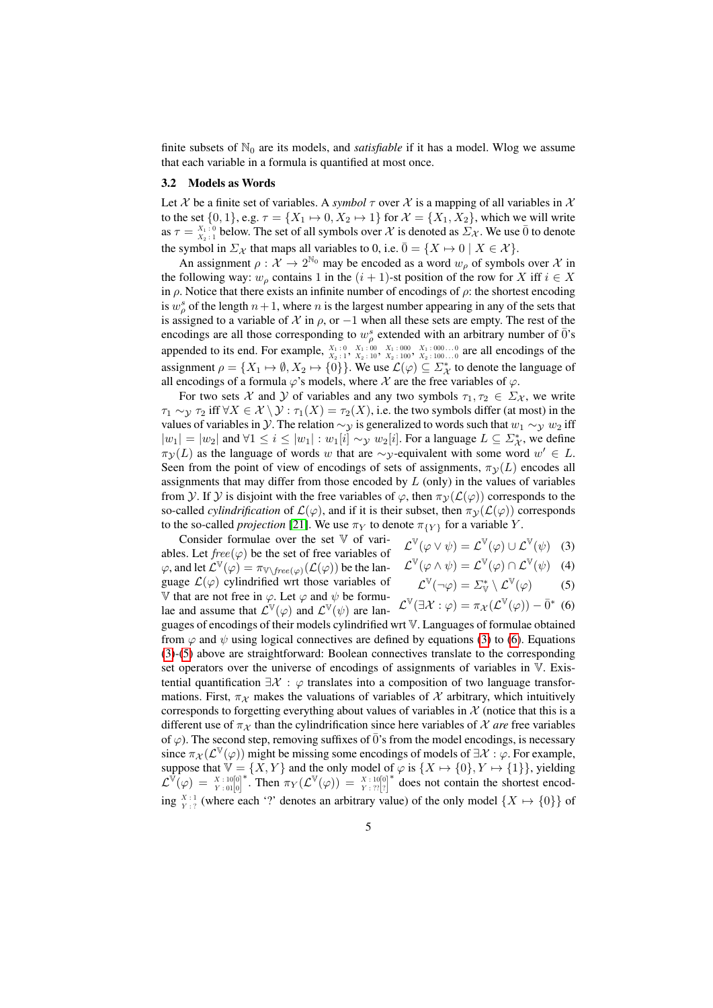finite subsets of  $\mathbb{N}_0$  are its models, and *satisfiable* if it has a model. Wlog we assume that each variable in a formula is quantified at most once.

#### <span id="page-4-3"></span>3.2 Models as Words

Let  $\mathcal X$  be a finite set of variables. A *symbol*  $\tau$  over  $\mathcal X$  is a mapping of all variables in  $\mathcal X$ to the set  $\{0, 1\}$ , e.g.  $\tau = \{X_1 \mapsto 0, X_2 \mapsto 1\}$  for  $\mathcal{X} = \{X_1, X_2\}$ , which we will write as  $\tau = \frac{X_1:0}{X_2:1}$  below. The set of all symbols over X is denoted as  $\Sigma_{\mathcal{X}}$ . We use  $\overline{0}$  to denote the symbol in  $\Sigma_{\mathcal{X}}$  that maps all variables to 0, i.e.  $\overline{0} = \{X \mapsto 0 \mid X \in \mathcal{X}\}.$ 

An assignment  $\rho : \mathcal{X} \to 2^{\mathbb{N}_0}$  may be encoded as a word  $w_\rho$  of symbols over  $\mathcal{X}$  in the following way:  $w<sub>o</sub>$  contains 1 in the  $(i + 1)$ -st position of the row for X iff  $i \in X$ in  $\rho$ . Notice that there exists an infinite number of encodings of  $\rho$ : the shortest encoding is  $w_\rho^s$  of the length  $n+1$ , where n is the largest number appearing in any of the sets that is assigned to a variable of X in  $\rho$ , or  $-1$  when all these sets are empty. The rest of the encodings are all those corresponding to  $w_\rho^s$  extended with an arbitrary number of  $\bar{0}$ 's appended to its end. For example,  $X_1: 0, X_1: 00, X_1: 000, X_1: 000...$  are all encodings of the assignment  $\rho = \{X_1 \mapsto \emptyset, X_2 \mapsto \{0\}\}\.$  We use  $\mathcal{L}(\varphi) \subseteq \Sigma_{\mathcal{X}}^*$  to denote the language of all encodings of a formula  $\varphi$ 's models, where X are the free variables of  $\varphi$ .

For two sets X and Y of variables and any two symbols  $\tau_1, \tau_2 \in \Sigma_{\mathcal{X}}$ , we write  $\tau_1 \sim_\mathcal{Y} \tau_2$  iff  $\forall X \in \mathcal{X} \setminus \mathcal{Y} : \tau_1(X) = \tau_2(X)$ , i.e. the two symbols differ (at most) in the values of variables in  $\mathcal{Y}$ . The relation  $\sim_{\mathcal{Y}}$  is generalized to words such that  $w_1 \sim_{\mathcal{Y}} w_2$  iff  $|w_1| = |w_2|$  and  $\forall 1 \le i \le |w_1| : w_1[i] \sim y \ w_2[i]$ . For a language  $L \subseteq \Sigma^*_{\mathcal{X}}$ , we define  $\pi_{\mathcal{Y}}(L)$  as the language of words w that are ∼y-equivalent with some word  $w' \in L$ . Seen from the point of view of encodings of sets of assignments,  $\pi_V(L)$  encodes all assignments that may differ from those encoded by  $L$  (only) in the values of variables from *Y*. If *Y* is disjoint with the free variables of  $\varphi$ , then  $\pi_{\mathcal{V}}(\mathcal{L}(\varphi))$  corresponds to the so-called *cylindrification* of  $\mathcal{L}(\varphi)$ , and if it is their subset, then  $\pi_{\mathcal{V}}(\mathcal{L}(\varphi))$  corresponds to the so-called *projection* [\[21\]](#page-16-1). We use  $\pi_Y$  to denote  $\pi_{\{Y\}}$  for a variable Y.

L V  $(\varphi \vee \psi) = \mathcal{L}$ V L V  $(\neg \varphi) = \Sigma$ ∗ L V  $(\exists \mathcal{X} : \varphi) = \pi_{\mathcal{X}}(\mathcal{L})$ V Consider formulae over the set V of variables. Let  $free(\varphi)$  be the set of free variables of  $\varphi$ , and let  $\mathcal{L}^{\mathbb{V}}(\varphi) = \pi_{\mathbb{V} \setminus free(\varphi)}(\mathcal{L}(\varphi))$  be the language  $\mathcal{L}(\varphi)$  cylindrified wrt those variables of V that are not free in  $\varphi$ . Let  $\varphi$  and  $\psi$  be formulae and assume that  $\mathcal{L}^{\mathbb{V}}(\varphi)$  and  $\mathcal{L}^{\mathbb{V}}(\psi)$  are lan-

<span id="page-4-0"></span>
$$
\mathcal{L}^{\mathbb{V}}(\varphi \vee \psi) = \mathcal{L}^{\mathbb{V}}(\varphi) \cup \mathcal{L}^{\mathbb{V}}(\psi) \quad (3)
$$

$$
\mathcal{L}^{\mathbb{V}}(\varphi \wedge \psi) = \mathcal{L}^{\mathbb{V}}(\varphi) \cap \mathcal{L}^{\mathbb{V}}(\psi) \quad (4)
$$

<span id="page-4-2"></span><span id="page-4-1"></span>
$$
\mathcal{L}^{\mathbb{V}}(\neg\varphi) = \varSigma_{\mathbb{V}}^* \setminus \mathcal{L}^{\mathbb{V}}(\varphi) \qquad (5)
$$

$$
\mathcal{L}^{\mathbb{V}}(\exists \mathcal{X} : \varphi) = \pi_{\mathcal{X}}(\mathcal{L}^{\mathbb{V}}(\varphi)) - \bar{0}^{*} \tag{6}
$$

guages of encodings of their models cylindrified wrt V. Languages of formulae obtained from  $\varphi$  and  $\psi$  using logical connectives are defined by equations [\(3\)](#page-4-0) to [\(6\)](#page-4-1). Equations [\(3\)](#page-4-0)-[\(5\)](#page-4-2) above are straightforward: Boolean connectives translate to the corresponding set operators over the universe of encodings of assignments of variables in  $V$ . Existential quantification  $\exists \mathcal{X} : \varphi$  translates into a composition of two language transformations. First,  $\pi_{\mathcal{X}}$  makes the valuations of variables of  $\mathcal{X}$  arbitrary, which intuitively corresponds to forgetting everything about values of variables in  $X$  (notice that this is a different use of  $\pi_{\mathcal{X}}$  than the cylindrification since here variables of  $\mathcal{X}$  *are* free variables of  $\varphi$ ). The second step, removing suffixes of  $\bar{0}$ 's from the model encodings, is necessary since  $\pi_{\mathcal{X}}(\mathcal{L}^{\mathbb{V}}(\varphi))$  might be missing some encodings of models of  $\exists \mathcal{X} : \varphi$ . For example, suppose that  $V = \{X, Y\}$  and the only model of  $\varphi$  is  $\{X \mapsto \{0\}, Y \mapsto \{1\}\}\$ , yielding  $\mathcal{L}^\mathbb{V}(\varphi) \ = \ \substack{X \ : \ 10 \, [0] \ Y \ : \ 01 \, [0]}$  $\int^* \cdot \text{Then } \pi_Y(\mathcal{L}^{\mathbb{V}}(\varphi)) = \frac{X \cdot 10[0]}{Y \cdot 27[2]}$ ∗ does not contain the shortest encoding  $X_{Y}$ : 1 (where each '?' denotes an arbitrary value) of the only model  $\{X \mapsto \{0\}\}\$  of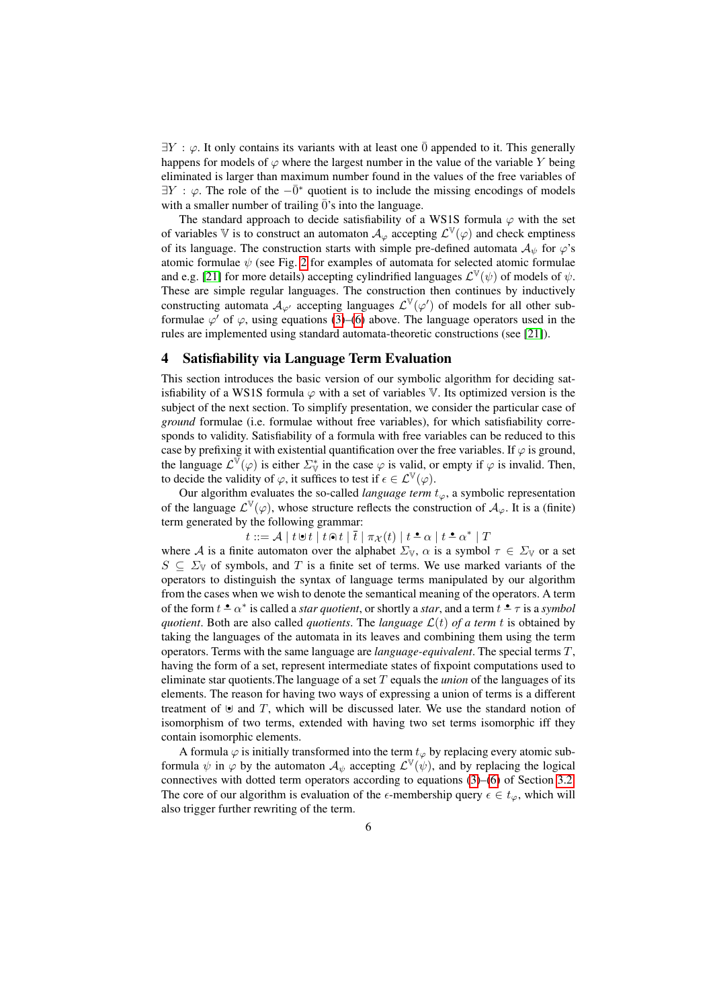$\exists Y : \varphi$ . It only contains its variants with at least one  $\overline{0}$  appended to it. This generally happens for models of  $\varphi$  where the largest number in the value of the variable Y being eliminated is larger than maximum number found in the values of the free variables of  $\exists Y : \varphi$ . The role of the  $-\overline{0}^*$  quotient is to include the missing encodings of models with a smaller number of trailing  $\overline{0}$ 's into the language.

The standard approach to decide satisfiability of a WS1S formula  $\varphi$  with the set of variables  $\mathbb V$  is to construct an automaton  $\mathcal A_\varphi$  accepting  $\mathcal L^{\mathbb V}(\varphi)$  and check emptiness of its language. The construction starts with simple pre-defined automata  $A_{\psi}$  for  $\varphi$ 's atomic formulae  $\psi$  (see Fig. [2](#page-7-0) for examples of automata for selected atomic formulae and e.g. [\[21\]](#page-16-1) for more details) accepting cylindrified languages  $\mathcal{L}^{\mathbb{V}}(\psi)$  of models of  $\psi$ . These are simple regular languages. The construction then continues by inductively constructing automata  $A_{\varphi'}$  accepting languages  $\mathcal{L}^{\mathbb{V}}(\varphi')$  of models for all other subformulae  $\varphi'$  of  $\varphi$ , using equations [\(3\)](#page-4-0)–[\(6\)](#page-4-1) above. The language operators used in the rules are implemented using standard automata-theoretic constructions (see [\[21\]](#page-16-1)).

## <span id="page-5-0"></span>4 Satisfiability via Language Term Evaluation

This section introduces the basic version of our symbolic algorithm for deciding satisfiability of a WS1S formula  $\varphi$  with a set of variables V. Its optimized version is the subject of the next section. To simplify presentation, we consider the particular case of *ground* formulae (i.e. formulae without free variables), for which satisfiability corresponds to validity. Satisfiability of a formula with free variables can be reduced to this case by prefixing it with existential quantification over the free variables. If  $\varphi$  is ground, the language  $\mathcal{L}^{\check{\mathbb{V}}}(\varphi)$  is either  $\Sigma^*_{\check{\mathbb{V}}}$  in the case  $\varphi$  is valid, or empty if  $\varphi$  is invalid. Then, to decide the validity of  $\varphi$ , it suffices to test if  $\epsilon \in \mathcal{L}^{\mathbb{V}}(\varphi)$ .

Our algorithm evaluates the so-called *language term*  $t_{\varphi}$ , a symbolic representation of the language  $\mathcal{L}^{\mathbb{V}}(\varphi)$ , whose structure reflects the construction of  $\mathcal{A}_{\varphi}$ . It is a (finite) term generated by the following grammar:

 $t ::= \mathcal{A} | t \cup t | t \cap t | \overline{t} | \pi_{\mathcal{X}}(t) | t - \alpha | t - \alpha^* | T$ 

where A is a finite automaton over the alphabet  $\Sigma_{V}$ ,  $\alpha$  is a symbol  $\tau \in \Sigma_{V}$  or a set  $S \subseteq \Sigma_{V}$  of symbols, and T is a finite set of terms. We use marked variants of the operators to distinguish the syntax of language terms manipulated by our algorithm from the cases when we wish to denote the semantical meaning of the operators. A term of the form  $t - \alpha^*$  is called a *star quotient*, or shortly a *star*, and a term  $t - \tau$  is a *symbol quotient*. Both are also called *quotients*. The *language*  $\mathcal{L}(t)$  *of a term t* is obtained by taking the languages of the automata in its leaves and combining them using the term operators. Terms with the same language are *language-equivalent*. The special terms T, having the form of a set, represent intermediate states of fixpoint computations used to eliminate star quotients.The language of a set T equals the *union* of the languages of its elements. The reason for having two ways of expressing a union of terms is a different treatment of  $\cup$  and T, which will be discussed later. We use the standard notion of isomorphism of two terms, extended with having two set terms isomorphic iff they contain isomorphic elements.

A formula  $\varphi$  is initially transformed into the term  $t_{\varphi}$  by replacing every atomic subformula  $\psi$  in  $\varphi$  by the automaton  $\mathcal{A}_{\psi}$  accepting  $\mathcal{L}^{\mathbb{V}}(\psi)$ , and by replacing the logical connectives with dotted term operators according to equations [\(3\)](#page-4-0)–[\(6\)](#page-4-1) of Section [3.2.](#page-4-3) The core of our algorithm is evaluation of the  $\epsilon$ -membership query  $\epsilon \in t_{\varphi}$ , which will also trigger further rewriting of the term.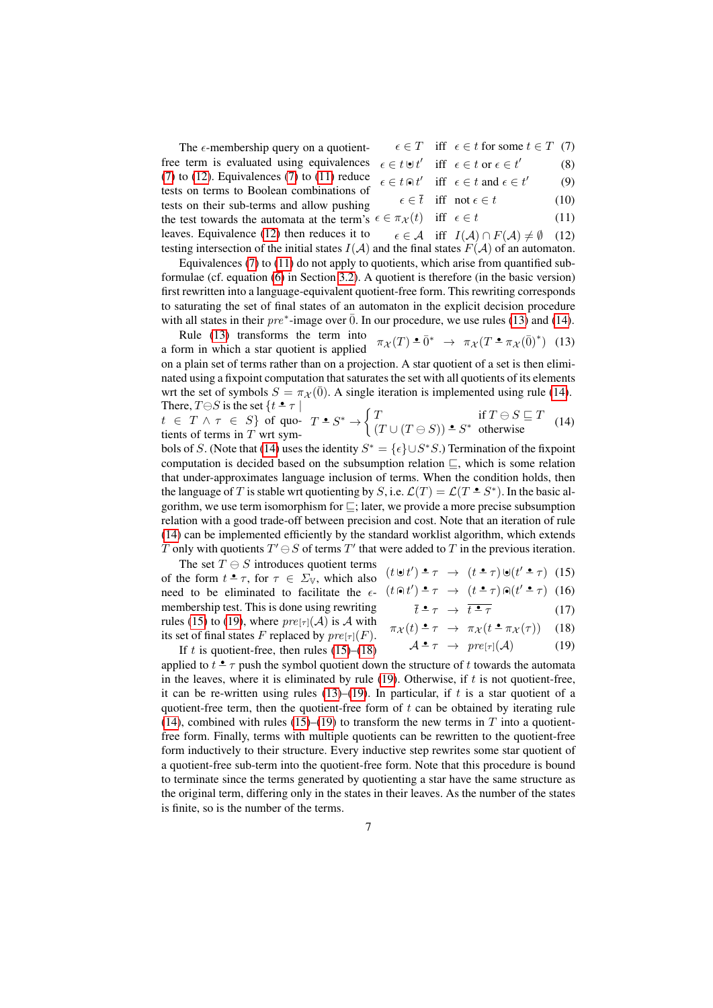$\epsilon \in T$  iff  $\epsilon \in t$  for some  $t \in T$  (7)

 $\epsilon \in t \cup t'$ iff  $\epsilon \in t$  or  $\epsilon \in t'$ (8)

 $\epsilon \in t \, \widehat{\bullet} \, t'$ iff  $\epsilon \in t$  and  $\epsilon \in t'$ (9)

<span id="page-6-10"></span><span id="page-6-9"></span><span id="page-6-4"></span><span id="page-6-3"></span><span id="page-6-2"></span><span id="page-6-1"></span><span id="page-6-0"></span> $\epsilon \in \overline{t}$  iff not  $\epsilon \in t$  (10)

the test towards the automata at the term's 
$$
\epsilon \in \pi_{\mathcal{X}}(t)
$$
 iff  $\epsilon \in t$  (11)  
leaves. Equivalence (12) then reduces it to  $\epsilon \in \mathcal{A}$  iff  $I(\mathcal{A}) \cap F(\mathcal{A}) \neq \emptyset$  (12)  
testing intersection of the initial states  $I(\mathcal{A})$  and the final states  $F(\mathcal{A})$  of an automaton

The  $\epsilon$ -membership query on a quotientfree term is evaluated using equivalences [\(7\)](#page-6-0) to  $(12)$ . Equivalences  $(7)$  to  $(11)$  reduce tests on terms to Boolean combinations of tests on their sub-terms and allow pushing

testing intersection of the initial states  $I(A)$  and the final states  $F(A)$  of an automaton. Equivalences [\(7\)](#page-6-0) to [\(11\)](#page-6-2) do not apply to quotients, which arise from quantified subformulae (cf. equation [\(6\)](#page-4-1) in Section [3.2\)](#page-4-3). A quotient is therefore (in the basic version) first rewritten into a language-equivalent quotient-free form. This rewriting corresponds to saturating the set of final states of an automaton in the explicit decision procedure with all states in their  $pre^*$ -image over  $\overline{0}$ . In our procedure, we use rules [\(13\)](#page-6-3) and [\(14\)](#page-6-4).

Rule [\(13\)](#page-6-3) transforms the term into  $\pi_{\mathcal{X}}(T) \triangleq \overline{0}^* \to \pi_{\mathcal{X}}(T \triangleq \pi_{\mathcal{X}}(\overline{0})^*)$  (13) a form in which a star quotient is applied on a plain set of terms rather than on a projection. A star quotient of a set is then eliminated using a fixpoint computation that saturates the set with all quotients of its elements wrt the set of symbols  $S = \pi_{\mathcal{X}}(\overline{0})$ . A single iteration is implemented using rule [\(14\)](#page-6-4). There,  $T\ominus S$  is the set  $\{t - \tau \mid$ 

 $T \triangleq S^* \rightarrow \begin{cases} T & \text{if } T \ominus S \sqsubseteq T \\ (T \cup (T \ominus S)) \triangleq S^* & \text{otherwise} \end{cases}$  $t \in T \wedge \tau \in S$  of quo- $T \triangleq S^* \rightarrow \begin{cases} I & \text{if } I \in S \subseteq I \\ (T \cup (T \ominus S)) \triangleq S^* \text{ otherwise} \end{cases}$  (14) tients of terms in  $T$  wrt sym-

bols of S. (Note that [\(14\)](#page-6-4) uses the identity  $S^* = \{\epsilon\} \cup S^*S$ .) Termination of the fixpoint computation is decided based on the subsumption relation  $\sqsubseteq$ , which is some relation that under-approximates language inclusion of terms. When the condition holds, then the language of T is stable wrt quotienting by S, i.e.  $\mathcal{L}(T) = \mathcal{L}(T - S^*)$ . In the basic algorithm, we use term isomorphism for  $\sqsubseteq$ ; later, we provide a more precise subsumption relation with a good trade-off between precision and cost. Note that an iteration of rule [\(14\)](#page-6-4) can be implemented efficiently by the standard worklist algorithm, which extends T only with quotients  $T' \ominus S$  of terms  $T'$  that were added to T in the previous iteration.

<span id="page-6-8"></span><span id="page-6-5"></span> $(t \cup t') \triangleq \tau \rightarrow (t \triangleq \tau) \cup (t' \triangleq \tau)$  (15)  $(t \cap t') \triangleq \tau \rightarrow (t \triangleq \tau) \cap (t' \triangleq \tau)$  (16)  $\overline{t} \cdot \overline{t} \rightarrow \overline{t} \cdot \overline{t}$  (17)  $\pi_{\mathcal{X}}(t)$  •  $\tau \rightarrow \pi_{\mathcal{X}}(t - \pi_{\mathcal{X}}(\tau))$  (18) The set  $T \ominus S$  introduces quotient terms of the form  $t - \tau$ , for  $\tau \in \Sigma_{\mathbb{V}}$ , which also need to be eliminated to facilitate the  $\epsilon$ membership test. This is done using rewriting rules [\(15\)](#page-6-5) to [\(19\)](#page-6-6), where  $pre[\tau](\mathcal{A})$  is  $\mathcal{A}$  with its set of final states F replaced by  $pre[\tau](F)$ .

<span id="page-6-7"></span><span id="page-6-6"></span> $\mathcal{A} \triangleq \tau \rightarrow \text{pre}[\tau](\mathcal{A})$  (19) If t is quotient-free, then rules  $(15)$ – $(18)$ applied to  $t - \tau$  push the symbol quotient down the structure of t towards the automata

in the leaves, where it is eliminated by rule  $(19)$ . Otherwise, if t is not quotient-free, it can be re-written using rules  $(13)$ – $(19)$ . In particular, if t is a star quotient of a quotient-free term, then the quotient-free form of  $t$  can be obtained by iterating rule [\(14\)](#page-6-4), combined with rules [\(15\)](#page-6-5)–[\(19\)](#page-6-6) to transform the new terms in  $T$  into a quotientfree form. Finally, terms with multiple quotients can be rewritten to the quotient-free form inductively to their structure. Every inductive step rewrites some star quotient of a quotient-free sub-term into the quotient-free form. Note that this procedure is bound to terminate since the terms generated by quotienting a star have the same structure as the original term, differing only in the states in their leaves. As the number of the states is finite, so is the number of the terms.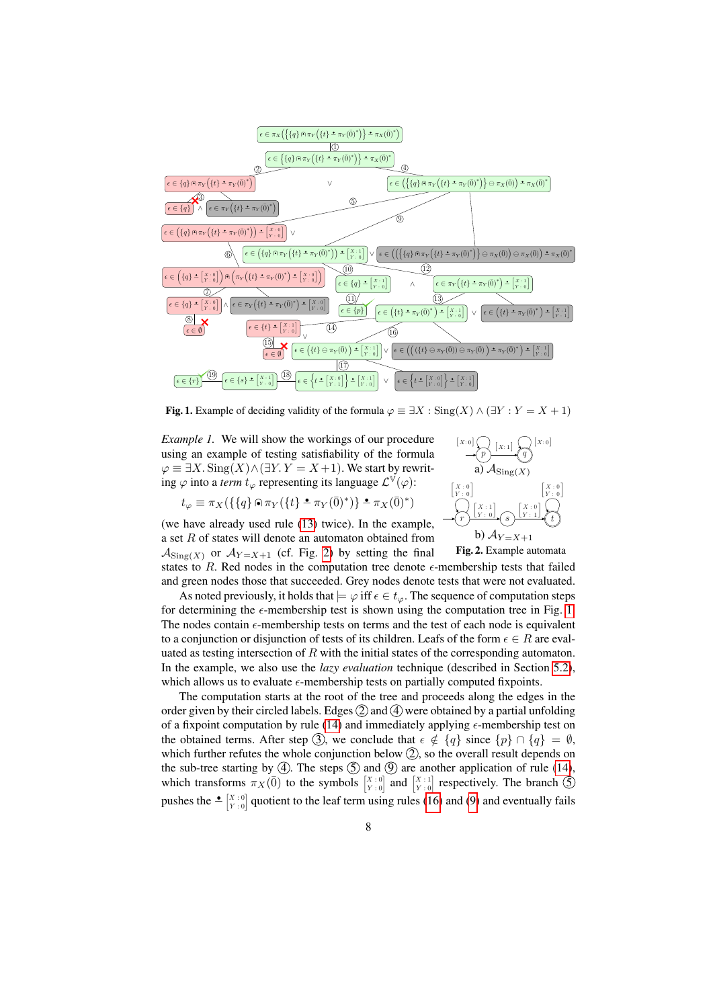

<span id="page-7-1"></span>Fig. 1. Example of deciding validity of the formula  $\varphi \equiv \exists X : Sing(X) \wedge (\exists Y : Y = X + 1)$ 

*Example 1.* We will show the workings of our procedure using an example of testing satisfiability of the formula  $\varphi \equiv \exists X.$  Sing $(X) \wedge (\exists Y. Y = X + 1)$ . We start by rewriting  $\varphi$  into a *term*  $t_{\varphi}$  representing its language  $\mathcal{L}^{\mathbb{V}}(\varphi)$ :

$$
t_\varphi \equiv \pi_X\big(\{\{q\} \mathbin{\widehat{\mathstrut{}} \mathbin{\circ\hspace{-3pt}}\pi_Y(\{t\} \mathbin{\stackrel{\bullet}{\mathstrut\bullet}} \pi_Y(\bar{0})^*)\} \mathbin{\stackrel{\bullet}{\mathstrut\bullet}} \pi_X(\bar{0})^*\big)
$$

(we have already used rule [\(13\)](#page-6-3) twice). In the example, a set R of states will denote an automaton obtained from  $\mathcal{A}_{\text{Sing}(X)}$  or  $\mathcal{A}_{Y=X+1}$  (cf. Fig. [2\)](#page-7-0) by setting the final states to R. Red nodes in the computation tree denote  $\epsilon$ -membership tests that failed



<span id="page-7-0"></span>Fig. 2. Example automata

and green nodes those that succeeded. Grey nodes denote tests that were not evaluated. As noted previously, it holds that  $\models \varphi$  iff  $\epsilon \in t_{\varphi}$ . The sequence of computation steps for determining the  $\epsilon$ -membership test is shown using the computation tree in Fig. [1.](#page-7-1) The nodes contain  $\epsilon$ -membership tests on terms and the test of each node is equivalent to a conjunction or disjunction of tests of its children. Leafs of the form  $\epsilon \in R$  are evaluated as testing intersection of  $R$  with the initial states of the corresponding automaton. In the example, we also use the *lazy evaluation* technique (described in Section [5.2\)](#page-9-0), which allows us to evaluate  $\epsilon$ -membership tests on partially computed fixpoints.

The computation starts at the root of the tree and proceeds along the edges in the order given by their circled labels. Edges  $(2)$  and  $(4)$  were obtained by a partial unfolding of a fixpoint computation by rule  $(14)$  and immediately applying  $\epsilon$ -membership test on the obtained terms. After step  $\circled{3}$ , we conclude that  $\epsilon \notin \{q\}$  since  $\{p\} \cap \{q\} = \emptyset$ , which further refutes the whole conjunction below  $(2)$ , so the overall result depends on the sub-tree starting by  $(4)$ . The steps  $(5)$  and  $(9)$  are another application of rule [\(14\)](#page-6-4), which transforms  $\pi_X(\vec{0})$  to the symbols  $\begin{bmatrix} x : 0 \\ Y : 0 \end{bmatrix}$  and  $\begin{bmatrix} x : 1 \\ Y : 0 \end{bmatrix}$  respectively. The branch  $\vec{S}$ pushes the  $\triangleq \begin{bmatrix} X : 0 \\ Y : 0 \end{bmatrix}$  quotient to the leaf term using rules [\(16\)](#page-6-8) and [\(9\)](#page-6-9) and eventually fails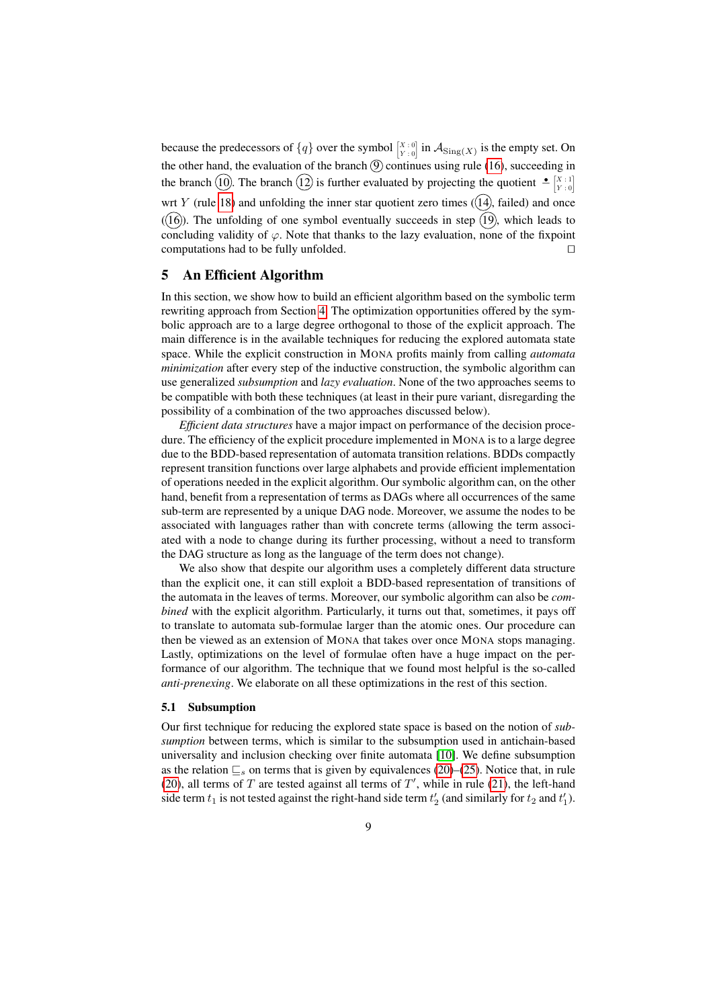because the predecessors of  $\{q\}$  over the symbol  $\begin{bmatrix} X : 0 \\ Y : 0 \end{bmatrix}$  in  $\mathcal{A}_{\text{Sing}(X)}$  is the empty set. On the other hand, the evaluation of the branch  $\circled{9}$  continues using rule [\(16\)](#page-6-8), succeeding in the branch (10). The branch (12) is further evaluated by projecting the quotient  $\triangleq$   $\begin{bmatrix} x & 1 \\ Y & 0 \end{bmatrix}$ wrt Y (rule [18\)](#page-6-7) and unfolding the inner star quotient zero times  $(14)$ , failed) and once  $(16)$ . The unfolding of one symbol eventually succeeds in step  $(19)$ , which leads to concluding validity of  $\varphi$ . Note that thanks to the lazy evaluation, none of the fixpoint computations had to be fully unfolded.  $\Box$ 

## 5 An Efficient Algorithm

In this section, we show how to build an efficient algorithm based on the symbolic term rewriting approach from Section [4.](#page-5-0) The optimization opportunities offered by the symbolic approach are to a large degree orthogonal to those of the explicit approach. The main difference is in the available techniques for reducing the explored automata state space. While the explicit construction in MONA profits mainly from calling *automata minimization* after every step of the inductive construction, the symbolic algorithm can use generalized *subsumption* and *lazy evaluation*. None of the two approaches seems to be compatible with both these techniques (at least in their pure variant, disregarding the possibility of a combination of the two approaches discussed below).

*Efficient data structures* have a major impact on performance of the decision procedure. The efficiency of the explicit procedure implemented in MONA is to a large degree due to the BDD-based representation of automata transition relations. BDDs compactly represent transition functions over large alphabets and provide efficient implementation of operations needed in the explicit algorithm. Our symbolic algorithm can, on the other hand, benefit from a representation of terms as DAGs where all occurrences of the same sub-term are represented by a unique DAG node. Moreover, we assume the nodes to be associated with languages rather than with concrete terms (allowing the term associated with a node to change during its further processing, without a need to transform the DAG structure as long as the language of the term does not change).

We also show that despite our algorithm uses a completely different data structure than the explicit one, it can still exploit a BDD-based representation of transitions of the automata in the leaves of terms. Moreover, our symbolic algorithm can also be *combined* with the explicit algorithm. Particularly, it turns out that, sometimes, it pays off to translate to automata sub-formulae larger than the atomic ones. Our procedure can then be viewed as an extension of MONA that takes over once MONA stops managing. Lastly, optimizations on the level of formulae often have a huge impact on the performance of our algorithm. The technique that we found most helpful is the so-called *anti-prenexing*. We elaborate on all these optimizations in the rest of this section.

#### 5.1 Subsumption

Our first technique for reducing the explored state space is based on the notion of *subsumption* between terms, which is similar to the subsumption used in antichain-based universality and inclusion checking over finite automata [\[10\]](#page-15-9). We define subsumption as the relation  $\mathcal{L}_s$  on terms that is given by equivalences [\(20\)](#page-9-1)–[\(25\)](#page-9-2). Notice that, in rule [\(20\)](#page-9-1), all terms of  $T$  are tested against all terms of  $T'$ , while in rule [\(21\)](#page-9-3), the left-hand side term  $t_1$  is not tested against the right-hand side term  $t_2$  (and similarly for  $t_2$  and  $t_1'$ ).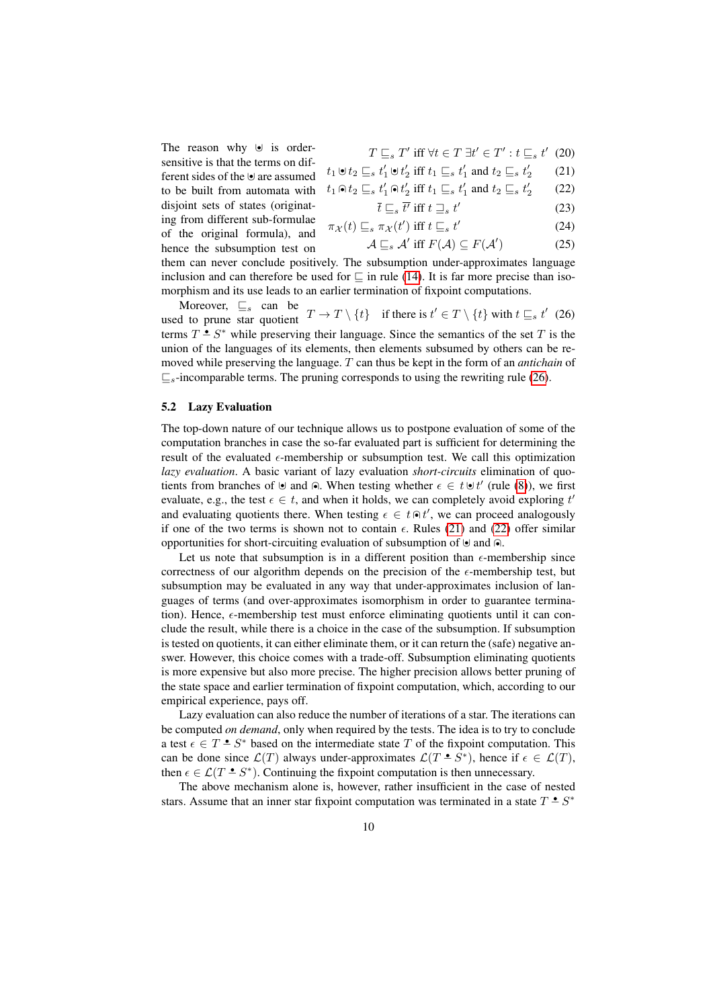The reason why ⊎ is ordersensitive is that the terms on different sides of the ∪ are assumed to be built from automata with disjoint sets of states (originating from different sub-formulae of the original formula), and hence the subsumption test on

- <span id="page-9-5"></span><span id="page-9-3"></span><span id="page-9-1"></span> $T \sqsubseteq_s T'$  iff  $\forall t \in T \exists t' \in T' : t \sqsubseteq_s t'$  (20)
- $t_1 \cup t_2 \sqsubseteq_s t'_1 \cup t'_2$  iff  $t_1 \sqsubseteq_s t'_1$  and  $t_2 \sqsubseteq_s t'_2$ (21)
- $t_1 \cap t_2 \sqsubseteq_s t'_1 \cap t'_2$  iff  $t_1 \sqsubseteq_s t'_1$  and  $t_2 \sqsubseteq_s t'_2$ (22)
	- $\overline{t} \sqsubseteq_s \overline{t'}$  iff  $t \sqsupseteq_s t'$ (23)
- $\pi_{\mathcal{X}}(t) \sqsubseteq_s \pi_{\mathcal{X}}(t')$  iff  $t \sqsubseteq_s t'$ (24)

<span id="page-9-4"></span><span id="page-9-2"></span>
$$
\mathcal{A} \sqsubseteq_s \mathcal{A}' \text{ iff } F(\mathcal{A}) \subseteq F(\mathcal{A}') \tag{25}
$$

them can never conclude positively. The subsumption under-approximates language inclusion and can therefore be used for  $\sqsubseteq$  in rule [\(14\)](#page-6-4). It is far more precise than isomorphism and its use leads to an earlier termination of fixpoint computations.

 $T \to T \setminus \{t\}$  if there is  $t' \in T \setminus \{t\}$  with  $t \sqsubseteq_s t'$  (26) Moreover,  $\sqsubseteq_s$  can be used to prune star quotient terms  $T - S^*$  while preserving their language. Since the semantics of the set T is the union of the languages of its elements, then elements subsumed by others can be removed while preserving the language. T can thus be kept in the form of an *antichain* of  $\mathbb{Z}_s$ -incomparable terms. The pruning corresponds to using the rewriting rule [\(26\)](#page-9-4).

#### <span id="page-9-0"></span>5.2 Lazy Evaluation

The top-down nature of our technique allows us to postpone evaluation of some of the computation branches in case the so-far evaluated part is sufficient for determining the result of the evaluated  $\epsilon$ -membership or subsumption test. We call this optimization *lazy evaluation*. A basic variant of lazy evaluation *short-circuits* elimination of quotients from branches of  $\Theta$  and  $\Theta$ . When testing whether  $\epsilon \in t \Theta t'$  (rule [\(8\)](#page-6-10)), we first evaluate, e.g., the test  $\epsilon \in t$ , and when it holds, we can completely avoid exploring  $t'$ and evaluating quotients there. When testing  $\epsilon \in t \cap t'$ , we can proceed analogously if one of the two terms is shown not to contain  $\epsilon$ . Rules [\(21\)](#page-9-3) and [\(22\)](#page-9-5) offer similar opportunities for short-circuiting evaluation of subsumption of ∪ and ∩.

Let us note that subsumption is in a different position than  $\epsilon$ -membership since correctness of our algorithm depends on the precision of the  $\epsilon$ -membership test, but subsumption may be evaluated in any way that under-approximates inclusion of languages of terms (and over-approximates isomorphism in order to guarantee termination). Hence,  $\epsilon$ -membership test must enforce eliminating quotients until it can conclude the result, while there is a choice in the case of the subsumption. If subsumption is tested on quotients, it can either eliminate them, or it can return the (safe) negative answer. However, this choice comes with a trade-off. Subsumption eliminating quotients is more expensive but also more precise. The higher precision allows better pruning of the state space and earlier termination of fixpoint computation, which, according to our empirical experience, pays off.

Lazy evaluation can also reduce the number of iterations of a star. The iterations can be computed *on demand*, only when required by the tests. The idea is to try to conclude a test  $\epsilon \in T$   $\triangleq S^*$  based on the intermediate state T of the fixpoint computation. This can be done since  $\mathcal{L}(T)$  always under-approximates  $\mathcal{L}(T \triangleq S^*)$ , hence if  $\epsilon \in \mathcal{L}(T)$ , then  $\epsilon \in \mathcal{L}(T - S^*)$ . Continuing the fixpoint computation is then unnecessary.

The above mechanism alone is, however, rather insufficient in the case of nested stars. Assume that an inner star fixpoint computation was terminated in a state  $T \triangleq S^*$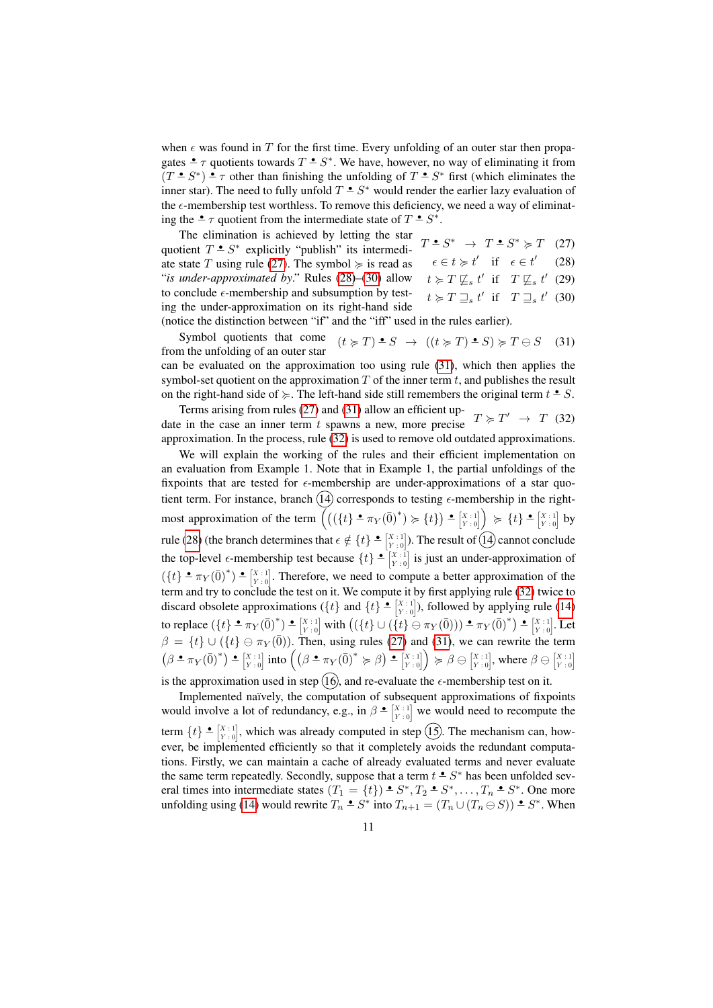when  $\epsilon$  was found in T for the first time. Every unfolding of an outer star then propagates  $\bullet$   $\tau$  quotients towards  $T \bullet S^*$ . We have, however, no way of eliminating it from  $(T - S^*)$  •  $\tau$  other than finishing the unfolding of  $T - S^*$  first (which eliminates the inner star). The need to fully unfold  $T \triangleq S^*$  would render the earlier lazy evaluation of the  $\epsilon$ -membership test worthless. To remove this deficiency, we need a way of eliminating the  $\text{-} \tau$  quotient from the intermediate state of  $T \text{-} S^*$ .

<span id="page-10-1"></span><span id="page-10-0"></span> $T \triangleq S^* \rightarrow T \triangleq S^* \succcurlyeq T$  (27)  $\epsilon \in t \succcurlyeq t'$  if  $\epsilon \in t'$ (28)  $t \geq T \not\sqsubseteq_s t'$  if  $T \not\sqsubseteq_s t'$  (29)  $t \geq T \sqsupseteq_s t'$  if  $T \sqsupseteq_s t'$  (30) The elimination is achieved by letting the star quotient  $T \triangleq S^*$  explicitly "publish" its intermedi-ate state T using rule [\(27\)](#page-10-0). The symbol  $\succeq$  is read as "*is under-approximated by*." Rules [\(28\)](#page-10-1)–[\(30\)](#page-10-2) allow to conclude  $\epsilon$ -membership and subsumption by testing the under-approximation on its right-hand side (notice the distinction between "if" and the "iff" used in the rules earlier).

<span id="page-10-3"></span><span id="page-10-2"></span>Symbol quotients that come  $(t \geq T) - S \to ((t \geq T) - S) \geq T \ominus S$  (31) from the unfolding of an outer star can be evaluated on the approximation too using rule [\(31\)](#page-10-3), which then applies the symbol-set quotient on the approximation  $T$  of the inner term  $t$ , and publishes the result on the right-hand side of  $\succeq$ . The left-hand side still remembers the original term  $t \triangleq S$ .

<span id="page-10-4"></span>date in the case an inner term t spawns a new, more precise  $T \ge T' \to T$  (32) Terms arising from rules [\(27\)](#page-10-0) and [\(31\)](#page-10-3) allow an efficient upapproximation. In the process, rule [\(32\)](#page-10-4) is used to remove old outdated approximations.

We will explain the working of the rules and their efficient implementation on an evaluation from Example 1. Note that in Example 1, the partial unfoldings of the fixpoints that are tested for  $\epsilon$ -membership are under-approximations of a star quotient term. For instance, branch (14) corresponds to testing  $\epsilon$ -membership in the rightmost approximation of the term  $\left( \left( \left( \{t\} - \pi_Y(\overline{0})^* \right) \succcurlyeq \{t\} \right) - \left[ \begin{smallmatrix} x & 1 \\ Y & 0 \end{smallmatrix} \right] \succcurlyeq \{t\} - \left[ \begin{smallmatrix} x & 1 \\ Y & 0 \end{smallmatrix} \right]$  by rule [\(28\)](#page-10-1) (the branch determines that  $\epsilon \notin \{t\}$   $\stackrel{\bullet}{=}$   $\begin{bmatrix} X : 1 \\ Y : 0 \end{bmatrix}$ ). The result of  $\widehat{A}$  cannot conclude the top-level  $\epsilon$ -membership test because  $\{t\}$   $\stackrel{\bullet}{=}$   $\begin{bmatrix} X : 1 \\ Y : 0 \end{bmatrix}$  is just an under-approximation of  $(\lbrace t \rbrace - \pi_Y(\overline{0})^*) - \lbrack \frac{X:1}{Y:0} \rbrack$ . Therefore, we need to compute a better approximation of the term and try to conclude the test on it. We compute it by first applying rule [\(32\)](#page-10-4) twice to discard obsolete approximations ( $\{t\}$  and  $\{t\}$   $\stackrel{\bullet}{=}$   $\begin{bmatrix} X : 1 \\ Y : 0 \end{bmatrix}$ ), followed by applying rule [\(14\)](#page-6-4) to replace  $(\{t\} - \pi_Y(\overline{0})^*) - \left[\begin{matrix} x & 1 \\ Y & 0 \end{matrix}\right]$  with  $((\{t\} \cup (\{t\} \oplus \pi_Y(\overline{0}))) - \pi_Y(\overline{0})^*) - \left[\begin{matrix} x & 1 \\ Y & 0 \end{matrix}\right]$ . Let  $\beta = \{t\} \cup (\{t\} \ominus \pi_Y(\overline{0}))$ . Then, using rules [\(27\)](#page-10-0) and [\(31\)](#page-10-3), we can rewrite the term  $\left(\beta \triangleq \pi_Y(\overline{0})^*\right) \triangleq \left[\begin{smallmatrix} x & : & 1 \\ Y & : & 0 \end{smallmatrix}\right]$  into  $\left(\left(\beta \triangleq \pi_Y(\overline{0})^*\succcurlyeq \beta\right) \triangleq \left[\begin{smallmatrix} x & : & 1 \\ Y & : & 0 \end{smallmatrix}\right] \succcurlyeq \beta \ominus \left[\begin{smallmatrix} x & : & 1 \\ Y & : & 0 \end{smallmatrix}\right]$ , where  $\beta \ominus \left[\begin{smallmatrix} x & : & 1 \\ Y & : & 0 \end{smallmatrix}\right]$ is the approximation used in step (16), and re-evaluate the  $\epsilon$ -membership test on it.

Implemented naïvely, the computation of subsequent approximations of fixpoints would involve a lot of redundancy, e.g., in  $\beta = \begin{bmatrix} x & 1 \\ Y & 0 \end{bmatrix}$  we would need to recompute the term  $\{t\}$   $\triangleq$   $\begin{bmatrix} x : 1 \\ Y : 0 \end{bmatrix}$ , which was already computed in step  $\overline{(15)}$ . The mechanism can, however, be implemented efficiently so that it completely avoids the redundant computations. Firstly, we can maintain a cache of already evaluated terms and never evaluate the same term repeatedly. Secondly, suppose that a term  $t - S^*$  has been unfolded several times into intermediate states  $(T_1 = \{t\}) - S^*, T_2 - S^*, \dots, T_n - S^*$ . One more unfolding using [\(14\)](#page-6-4) would rewrite  $T_n$   $\bullet$   $S^*$  into  $T_{n+1} = (T_n \cup (T_n \ominus S))$   $\bullet$   $S^*$ . When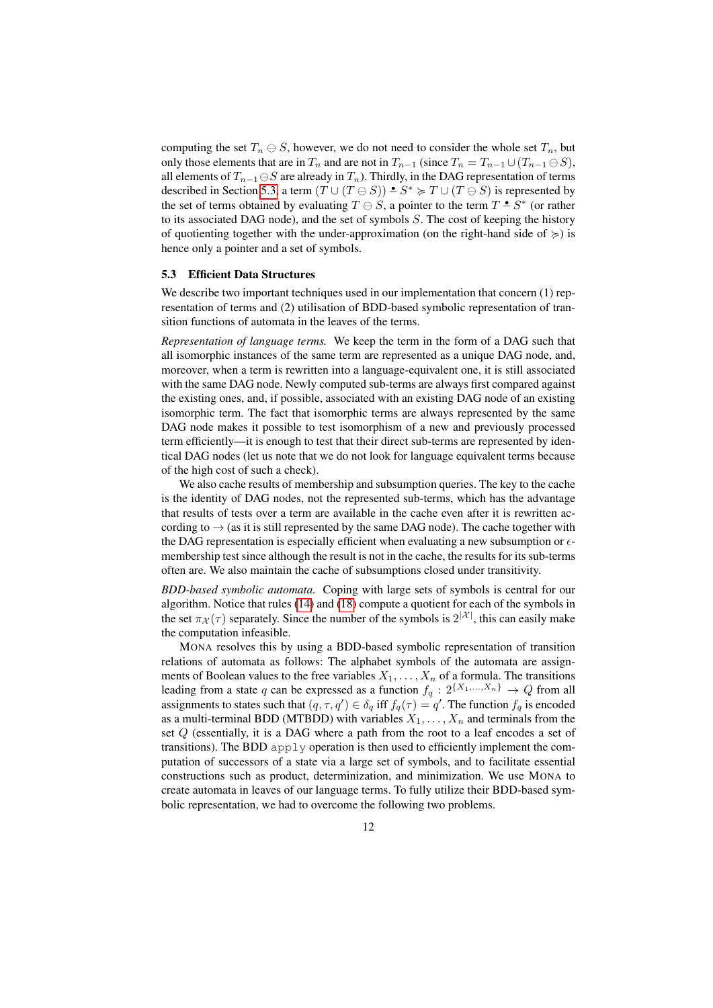computing the set  $T_n \ominus S$ , however, we do not need to consider the whole set  $T_n$ , but only those elements that are in  $T_n$  and are not in  $T_{n-1}$  (since  $T_n = T_{n-1} \cup (T_{n-1} \ominus S)$ , all elements of  $T_{n-1} \ominus S$  are already in  $T_n$ ). Thirdly, in the DAG representation of terms described in Section [5.3,](#page-11-0) a term  $(T \cup (T \ominus S))$   $\triangleq S^* \succcurlyeq T \cup (T \ominus S)$  is represented by the set of terms obtained by evaluating  $T \ominus S$ , a pointer to the term  $T \triangleq S^*$  (or rather to its associated DAG node), and the set of symbols  $S$ . The cost of keeping the history of quotienting together with the under-approximation (on the right-hand side of  $\succcurlyeq$ ) is hence only a pointer and a set of symbols.

## <span id="page-11-0"></span>5.3 Efficient Data Structures

We describe two important techniques used in our implementation that concern (1) representation of terms and (2) utilisation of BDD-based symbolic representation of transition functions of automata in the leaves of the terms.

*Representation of language terms.* We keep the term in the form of a DAG such that all isomorphic instances of the same term are represented as a unique DAG node, and, moreover, when a term is rewritten into a language-equivalent one, it is still associated with the same DAG node. Newly computed sub-terms are always first compared against the existing ones, and, if possible, associated with an existing DAG node of an existing isomorphic term. The fact that isomorphic terms are always represented by the same DAG node makes it possible to test isomorphism of a new and previously processed term efficiently—it is enough to test that their direct sub-terms are represented by identical DAG nodes (let us note that we do not look for language equivalent terms because of the high cost of such a check).

We also cache results of membership and subsumption queries. The key to the cache is the identity of DAG nodes, not the represented sub-terms, which has the advantage that results of tests over a term are available in the cache even after it is rewritten according to  $\rightarrow$  (as it is still represented by the same DAG node). The cache together with the DAG representation is especially efficient when evaluating a new subsumption or  $\epsilon$ membership test since although the result is not in the cache, the results for its sub-terms often are. We also maintain the cache of subsumptions closed under transitivity.

*BDD-based symbolic automata.* Coping with large sets of symbols is central for our algorithm. Notice that rules [\(14\)](#page-6-4) and [\(18\)](#page-6-7) compute a quotient for each of the symbols in the set  $\pi_{\mathcal{X}}(\tau)$  separately. Since the number of the symbols is  $2^{|\mathcal{X}|}$ , this can easily make the computation infeasible.

MONA resolves this by using a BDD-based symbolic representation of transition relations of automata as follows: The alphabet symbols of the automata are assignments of Boolean values to the free variables  $X_1, \ldots, X_n$  of a formula. The transitions leading from a state q can be expressed as a function  $f_q : 2^{\{X_1, \ldots, X_n\}} \rightarrow Q$  from all assignments to states such that  $(q, \tau, q') \in \delta_q$  iff  $f_q(\tau) = q'$ . The function  $f_q$  is encoded as a multi-terminal BDD (MTBDD) with variables  $X_1, \ldots, X_n$  and terminals from the set  $Q$  (essentially, it is a DAG where a path from the root to a leaf encodes a set of transitions). The BDD apply operation is then used to efficiently implement the computation of successors of a state via a large set of symbols, and to facilitate essential constructions such as product, determinization, and minimization. We use MONA to create automata in leaves of our language terms. To fully utilize their BDD-based symbolic representation, we had to overcome the following two problems.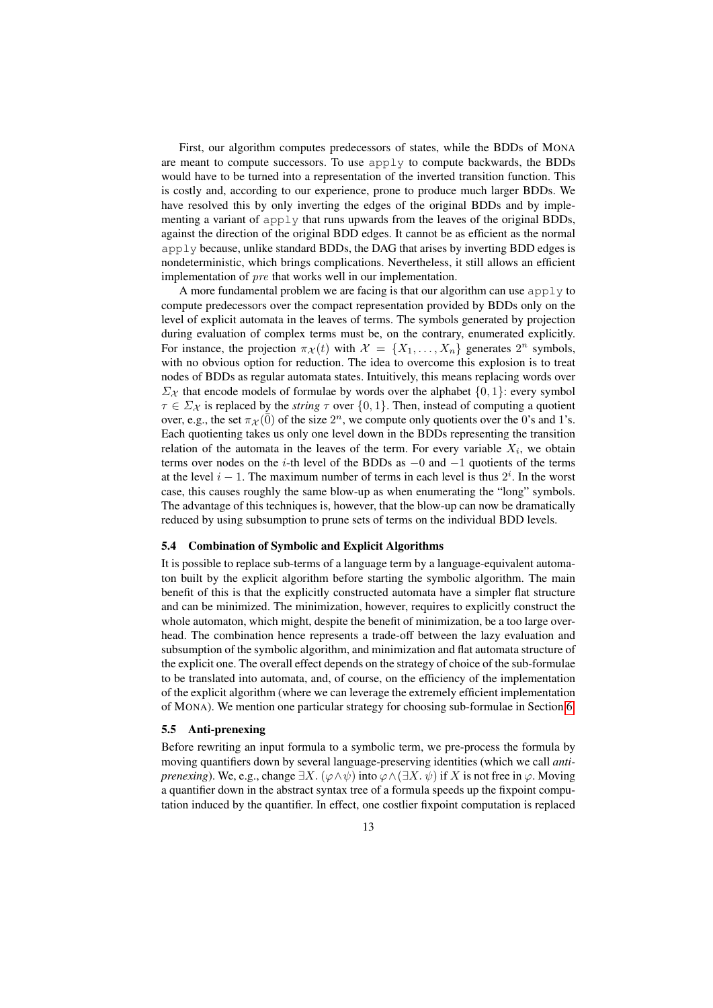First, our algorithm computes predecessors of states, while the BDDs of MONA are meant to compute successors. To use apply to compute backwards, the BDDs would have to be turned into a representation of the inverted transition function. This is costly and, according to our experience, prone to produce much larger BDDs. We have resolved this by only inverting the edges of the original BDDs and by implementing a variant of apply that runs upwards from the leaves of the original BDDs, against the direction of the original BDD edges. It cannot be as efficient as the normal apply because, unlike standard BDDs, the DAG that arises by inverting BDD edges is nondeterministic, which brings complications. Nevertheless, it still allows an efficient implementation of *pre* that works well in our implementation.

A more fundamental problem we are facing is that our algorithm can use apply to compute predecessors over the compact representation provided by BDDs only on the level of explicit automata in the leaves of terms. The symbols generated by projection during evaluation of complex terms must be, on the contrary, enumerated explicitly. For instance, the projection  $\pi_{\mathcal{X}}(t)$  with  $\mathcal{X} = \{X_1, \ldots, X_n\}$  generates  $2^n$  symbols, with no obvious option for reduction. The idea to overcome this explosion is to treat nodes of BDDs as regular automata states. Intuitively, this means replacing words over  $\Sigma_{\mathcal{X}}$  that encode models of formulae by words over the alphabet  $\{0, 1\}$ : every symbol  $\tau \in \Sigma_{\mathcal{X}}$  is replaced by the *string*  $\tau$  over  $\{0, 1\}$ . Then, instead of computing a quotient over, e.g., the set  $\pi_{\mathcal{X}}(\overline{0})$  of the size  $2^n$ , we compute only quotients over the 0's and 1's. Each quotienting takes us only one level down in the BDDs representing the transition relation of the automata in the leaves of the term. For every variable  $X_i$ , we obtain terms over nodes on the i-th level of the BDDs as  $-0$  and  $-1$  quotients of the terms at the level  $i - 1$ . The maximum number of terms in each level is thus  $2^i$ . In the worst case, this causes roughly the same blow-up as when enumerating the "long" symbols. The advantage of this techniques is, however, that the blow-up can now be dramatically reduced by using subsumption to prune sets of terms on the individual BDD levels.

#### <span id="page-12-0"></span>5.4 Combination of Symbolic and Explicit Algorithms

It is possible to replace sub-terms of a language term by a language-equivalent automaton built by the explicit algorithm before starting the symbolic algorithm. The main benefit of this is that the explicitly constructed automata have a simpler flat structure and can be minimized. The minimization, however, requires to explicitly construct the whole automaton, which might, despite the benefit of minimization, be a too large overhead. The combination hence represents a trade-off between the lazy evaluation and subsumption of the symbolic algorithm, and minimization and flat automata structure of the explicit one. The overall effect depends on the strategy of choice of the sub-formulae to be translated into automata, and, of course, on the efficiency of the implementation of the explicit algorithm (where we can leverage the extremely efficient implementation of MONA). We mention one particular strategy for choosing sub-formulae in Section [6.](#page-13-0)

## 5.5 Anti-prenexing

Before rewriting an input formula to a symbolic term, we pre-process the formula by moving quantifiers down by several language-preserving identities (which we call *antiprenexing*). We, e.g., change  $\exists X$ . ( $\varphi \land \psi$ ) into  $\varphi \land (\exists X, \psi)$  if X is not free in  $\varphi$ . Moving a quantifier down in the abstract syntax tree of a formula speeds up the fixpoint computation induced by the quantifier. In effect, one costlier fixpoint computation is replaced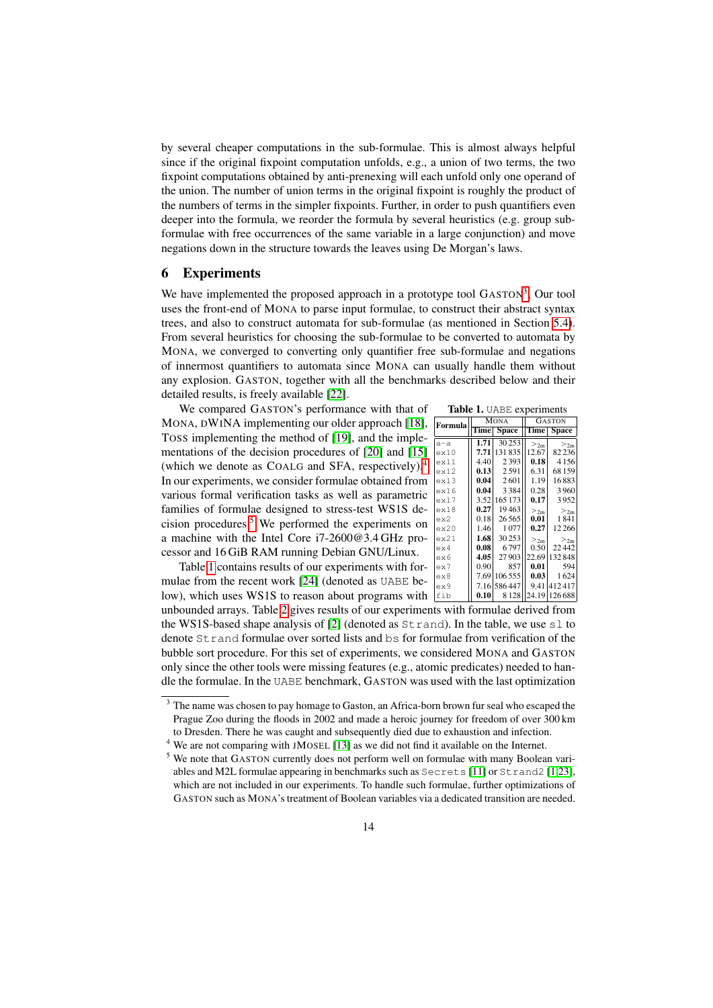by several cheaper computations in the sub-formulae. This is almost always helpful since if the original fixpoint computation unfolds, e.g., a union of two terms, the two fixpoint computations obtained by anti-prenexing will each unfold only one operand of the union. The number of union terms in the original fixpoint is roughly the product of the numbers of terms in the simpler fixpoints. Further, in order to push quantifiers even deeper into the formula, we reorder the formula by several heuristics (e.g. group subformulae with free occurrences of the same variable in a large conjunction) and move negations down in the structure towards the leaves using De Morgan's laws.

#### <span id="page-13-0"></span>6 Experiments

We have implemented the proposed approach in a prototype tool  $GASTON<sup>3</sup>$  $GASTON<sup>3</sup>$  $GASTON<sup>3</sup>$ , Our tool uses the front-end of MONA to parse input formulae, to construct their abstract syntax trees, and also to construct automata for sub-formulae (as mentioned in Section [5.4\)](#page-12-0). From several heuristics for choosing the sub-formulae to be converted to automata by MONA, we converged to converting only quantifier free sub-formulae and negations of innermost quantifiers to automata since MONA can usually handle them without any explosion. GASTON, together with all the benchmarks described below and their detailed results, is freely available [\[22\]](#page-16-2).

We compared GASTON's performance with that of MONA, DWINA implementing our older approach [\[18\]](#page-15-17), TOSS implementing the method of [\[19\]](#page-15-18), and the implementations of the decision procedures of [\[20\]](#page-16-0) and [\[15\]](#page-15-14) (which we denote as COALG and SFA, respectively).[4](#page-13-2) In our experiments, we consider formulae obtained from various formal verification tasks as well as parametric families of formulae designed to stress-test WS1S decision procedures.[5](#page-13-3) We performed the experiments on a machine with the Intel Core i7-2600@3.4 GHz processor and 16 GiB RAM running Debian GNU/Linux.

<span id="page-13-4"></span>

| <b>Table 1.</b> UABE experiments |      |              |          |              |  |  |
|----------------------------------|------|--------------|----------|--------------|--|--|
| Formula                          |      | <b>MONA</b>  | GASTON   |              |  |  |
|                                  | Time | <b>Space</b> | Time     | <b>Space</b> |  |  |
| $a-a$                            | 1.71 | 30 25 3      | $>_{2m}$ | $>_{2m}$     |  |  |
| ex10                             | 7.71 | 131 835      | 12.67    | 82 236       |  |  |
| ex11                             | 4.40 | 2393         | 0.18     | 4156         |  |  |
| ex12                             | 0.13 | 2591         | 6.31     | 68 159       |  |  |
| ex13                             | 0.04 | 2601         | 1.19     | 16883        |  |  |
| ex16                             | 0.04 | 3 3 8 4      | 0.28     | 3960         |  |  |
| ex17                             | 3.52 | 165 173      | 0.17     | 3952         |  |  |
| ex18                             | 0.27 | 19463        | $>_{2m}$ | $>_{2m}$     |  |  |
| ex2                              | 0.18 | 26565        | 0.01     | 1841         |  |  |
| ex20                             | 1.46 | 1077         | 0.27     | 12 2 6 6     |  |  |
| ex21                             | 1.68 | 30 25 3      | $>_{2m}$ | $>_{2m}$     |  |  |
| ex4                              | 0.08 | 6797         | 0.50     | 22442        |  |  |
| ex6                              | 4.05 | 27903        | 22.69    | 132848       |  |  |
| ex7                              | 0.90 | 857          | 0.01     | 594          |  |  |
| ex8                              | 7.69 | 106 555      | 0.03     | 1624         |  |  |
| ex9                              | 7.16 | 586447       | 9.41     | 412417       |  |  |
| fib                              |      | 8128         | 24.19    | 126 688      |  |  |

Table [1](#page-13-4) contains results of our experiments with formulae from the recent work [\[24\]](#page-16-3) (denoted as UABE below), which uses WS1S to reason about programs with

unbounded arrays. Table [2](#page-14-0) gives results of our experiments with formulae derived from the WS1S-based shape analysis of [\[2\]](#page-15-1) (denoted as  $Strand$ ). In the table, we use  $s1$  to denote Strand formulae over sorted lists and bs for formulae from verification of the bubble sort procedure. For this set of experiments, we considered MONA and GASTON only since the other tools were missing features (e.g., atomic predicates) needed to handle the formulae. In the UABE benchmark, GASTON was used with the last optimization

<span id="page-13-2"></span><sup>4</sup> We are not comparing with JMOSEL [\[13\]](#page-15-12) as we did not find it available on the Internet.

<span id="page-13-1"></span><sup>&</sup>lt;sup>3</sup> The name was chosen to pay homage to Gaston, an Africa-born brown fur seal who escaped the Prague Zoo during the floods in 2002 and made a heroic journey for freedom of over 300 km to Dresden. There he was caught and subsequently died due to exhaustion and infection.

<span id="page-13-3"></span><sup>&</sup>lt;sup>5</sup> We note that GASTON currently does not perform well on formulae with many Boolean variables and M2L formulae appearing in benchmarks such as Secrets [\[11\]](#page-15-10) or Strand2 [\[1](#page-15-0)[,23\]](#page-16-4), which are not included in our experiments. To handle such formulae, further optimizations of GASTON such as MONA's treatment of Boolean variables via a dedicated transition are needed.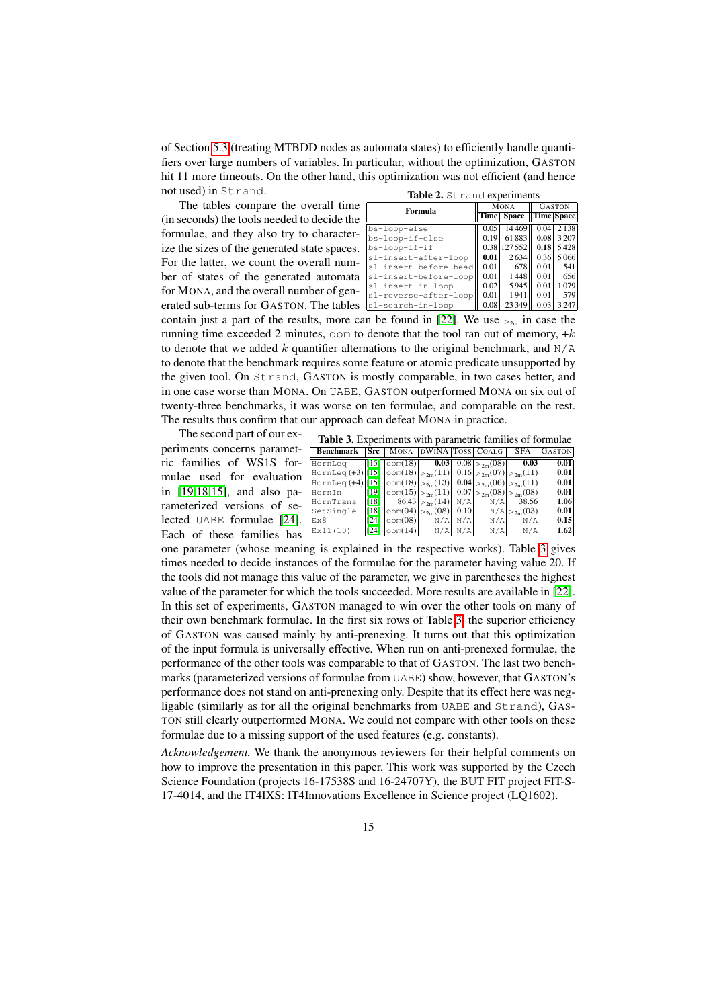of Section [5.3](#page-11-0) (treating MTBDD nodes as automata states) to efficiently handle quantifiers over large numbers of variables. In particular, without the optimization, GASTON hit 11 more timeouts. On the other hand, this optimization was not efficient (and hence not used) in Strand.

The tables compare the overall time (in seconds) the tools needed to decide the formulae, and they also try to characterize the sizes of the generated state spaces. For the latter, we count the overall number of states of the generated automata for MONA, and the overall number of generated sub-terms for GASTON. The tables

<span id="page-14-0"></span>

|  |  | Table 2. St rand experiments |  |
|--|--|------------------------------|--|
|  |  |                              |  |

| Formula               | <b>MONA</b> |                       | <b>GASTON</b> |         |  |
|-----------------------|-------------|-----------------------|---------------|---------|--|
|                       |             | Time Space Time Space |               |         |  |
| bs-loop-else          | 0.05        | 14469                 | 0.04          | 2 1 3 8 |  |
| bs-loop-if-else       | 0.19        | 61883                 | 0.08          | 3 2 0 7 |  |
| bs-loop-if-if         |             | 0.38 127 552          | 0.18          | 5428    |  |
| sl-insert-after-loop  | 0.01        | 2634                  | 0.36          | 5066    |  |
| sl-insert-before-head | 0.01        | 678                   | 0.01          | 541     |  |
| sl-insert-before-loop | 0.01        | 1448                  | 0.01          | 656     |  |
| sl-insert-in-loop     | 0.02        | 5945                  | 0.01          | 1079    |  |
| sl-reverse-after-loop | 0.01        | 1941                  | 0.01          | 579     |  |
| sl-search-in-loop     | 0.08        | 23349                 | 0.03          | 3247    |  |

contain just a part of the results, more can be found in [\[22\]](#page-16-2). We use  $>_{2m}$  in case the running time exceeded 2 minutes, oom to denote that the tool ran out of memory,  $+k$ to denote that we added k quantifier alternations to the original benchmark, and  $N/A$ to denote that the benchmark requires some feature or atomic predicate unsupported by the given tool. On Strand, GASTON is mostly comparable, in two cases better, and in one case worse than MONA. On UABE, GASTON outperformed MONA on six out of twenty-three benchmarks, it was worse on ten formulae, and comparable on the rest. The results thus confirm that our approach can defeat MONA in practice.

The second part of our experiments concerns parametric families of WS1S formulae used for evaluation in [\[19](#page-15-18)[,18](#page-15-17)[,15\]](#page-15-14), and also parameterized versions of selected UABE formulae [\[24\]](#page-16-3). Each of these families has

<span id="page-14-1"></span>

| <b>Table 3.</b> Experiments with parametric families of formulae                                                           |       |                                                                            |     |       |     |                |            |
|----------------------------------------------------------------------------------------------------------------------------|-------|----------------------------------------------------------------------------|-----|-------|-----|----------------|------------|
| Benchmark                                                                                                                  |       | <b>Src    MONA DWINA TOSS   COALG</b>                                      |     |       |     |                | SFA GASTON |
| HornLeq                                                                                                                    |       | $\frac{ 15 }{\log 1000}(18)$ 0.03 0.08 $ _{\geq 2m}(08) $                  |     |       |     | 0.03           | 0.01       |
| HornLeq(+3) [15]  oom(18) > <sub>2m</sub> (11)  0.16 > <sub>2m</sub> (07) > <sub>2m</sub> (11)                             |       |                                                                            |     |       |     |                | 0.01       |
| HornLeq (+4) $\vert [15] \vert$ $\vert \text{com}(18) \vert >_{2m}(13) \vert 0.04 \vert >_{2m}(06) \vert >_{2m}(11) \vert$ |       |                                                                            |     |       |     |                | 0.01       |
| HornIn                                                                                                                     |       | $[19]  \text{oom}(15) _{\geq 2m}(11)  0.07 _{\geq 2m}(08) _{\geq 2m}(08) $ |     |       |     |                | 0.01       |
| HornTrans                                                                                                                  |       | $ [18] $ 86.43 $ >_{2m}(14) $ N/A                                          |     |       | N/A | 38.56          | 1.06       |
| SetSingle                                                                                                                  |       | $ [18]  $ oom $(04) >2m(08) $                                              |     | 0.101 |     | $N/A$ > 2m(03) | 0.01       |
| Ex8                                                                                                                        | [24]  | com(08)                                                                    | N/A | N/A   | N/A | N/A            | 0.15       |
| Ex11(10)                                                                                                                   | [24]] | $\vert$ oom $(14)$                                                         | N/A | N/A   | N/A | N/A            | 1.62       |

one parameter (whose meaning is explained in the respective works). Table [3](#page-14-1) gives times needed to decide instances of the formulae for the parameter having value 20. If the tools did not manage this value of the parameter, we give in parentheses the highest value of the parameter for which the tools succeeded. More results are available in [\[22\]](#page-16-2). In this set of experiments, GASTON managed to win over the other tools on many of their own benchmark formulae. In the first six rows of Table [3,](#page-14-1) the superior efficiency of GASTON was caused mainly by anti-prenexing. It turns out that this optimization of the input formula is universally effective. When run on anti-prenexed formulae, the performance of the other tools was comparable to that of GASTON. The last two benchmarks (parameterized versions of formulae from UABE) show, however, that GASTON's performance does not stand on anti-prenexing only. Despite that its effect here was negligable (similarly as for all the original benchmarks from UABE and  $Strand$ ), GAS-TON still clearly outperformed MONA. We could not compare with other tools on these formulae due to a missing support of the used features (e.g. constants).

*Acknowledgement.* We thank the anonymous reviewers for their helpful comments on how to improve the presentation in this paper. This work was supported by the Czech Science Foundation (projects 16-17538S and 16-24707Y), the BUT FIT project FIT-S-17-4014, and the IT4IXS: IT4Innovations Excellence in Science project (LQ1602).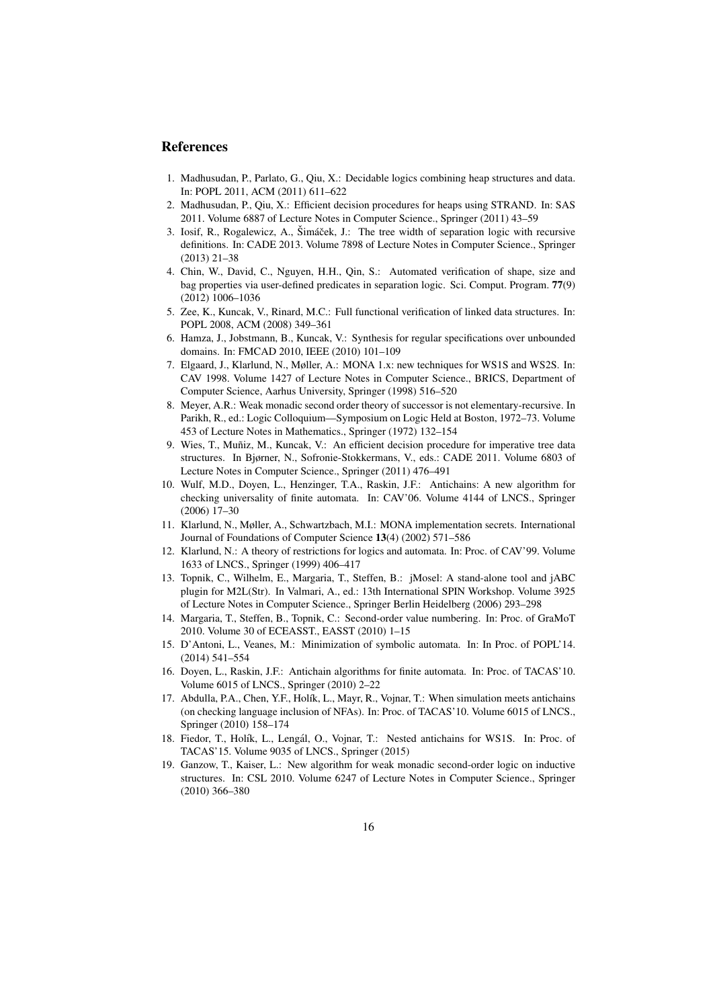## References

- <span id="page-15-0"></span>1. Madhusudan, P., Parlato, G., Qiu, X.: Decidable logics combining heap structures and data. In: POPL 2011, ACM (2011) 611–622
- <span id="page-15-1"></span>2. Madhusudan, P., Qiu, X.: Efficient decision procedures for heaps using STRAND. In: SAS 2011. Volume 6887 of Lecture Notes in Computer Science., Springer (2011) 43–59
- <span id="page-15-2"></span>3. Iosif, R., Rogalewicz, A., Šimáček, J.: The tree width of separation logic with recursive definitions. In: CADE 2013. Volume 7898 of Lecture Notes in Computer Science., Springer (2013) 21–38
- <span id="page-15-3"></span>4. Chin, W., David, C., Nguyen, H.H., Qin, S.: Automated verification of shape, size and bag properties via user-defined predicates in separation logic. Sci. Comput. Program. 77(9) (2012) 1006–1036
- <span id="page-15-4"></span>5. Zee, K., Kuncak, V., Rinard, M.C.: Full functional verification of linked data structures. In: POPL 2008, ACM (2008) 349–361
- <span id="page-15-5"></span>6. Hamza, J., Jobstmann, B., Kuncak, V.: Synthesis for regular specifications over unbounded domains. In: FMCAD 2010, IEEE (2010) 101–109
- <span id="page-15-6"></span>7. Elgaard, J., Klarlund, N., Møller, A.: MONA 1.x: new techniques for WS1S and WS2S. In: CAV 1998. Volume 1427 of Lecture Notes in Computer Science., BRICS, Department of Computer Science, Aarhus University, Springer (1998) 516–520
- <span id="page-15-7"></span>8. Meyer, A.R.: Weak monadic second order theory of successor is not elementary-recursive. In Parikh, R., ed.: Logic Colloquium—Symposium on Logic Held at Boston, 1972–73. Volume 453 of Lecture Notes in Mathematics., Springer (1972) 132–154
- <span id="page-15-8"></span>9. Wies, T., Muniz, M., Kuncak, V.: An efficient decision procedure for imperative tree data ˜ structures. In Bjørner, N., Sofronie-Stokkermans, V., eds.: CADE 2011. Volume 6803 of Lecture Notes in Computer Science., Springer (2011) 476–491
- <span id="page-15-9"></span>10. Wulf, M.D., Doyen, L., Henzinger, T.A., Raskin, J.F.: Antichains: A new algorithm for checking universality of finite automata. In: CAV'06. Volume 4144 of LNCS., Springer (2006) 17–30
- <span id="page-15-10"></span>11. Klarlund, N., Møller, A., Schwartzbach, M.I.: MONA implementation secrets. International Journal of Foundations of Computer Science 13(4) (2002) 571–586
- <span id="page-15-11"></span>12. Klarlund, N.: A theory of restrictions for logics and automata. In: Proc. of CAV'99. Volume 1633 of LNCS., Springer (1999) 406–417
- <span id="page-15-12"></span>13. Topnik, C., Wilhelm, E., Margaria, T., Steffen, B.: jMosel: A stand-alone tool and jABC plugin for M2L(Str). In Valmari, A., ed.: 13th International SPIN Workshop. Volume 3925 of Lecture Notes in Computer Science., Springer Berlin Heidelberg (2006) 293–298
- <span id="page-15-13"></span>14. Margaria, T., Steffen, B., Topnik, C.: Second-order value numbering. In: Proc. of GraMoT 2010. Volume 30 of ECEASST., EASST (2010) 1–15
- <span id="page-15-14"></span>15. D'Antoni, L., Veanes, M.: Minimization of symbolic automata. In: In Proc. of POPL'14. (2014) 541–554
- <span id="page-15-15"></span>16. Doyen, L., Raskin, J.F.: Antichain algorithms for finite automata. In: Proc. of TACAS'10. Volume 6015 of LNCS., Springer (2010) 2–22
- <span id="page-15-16"></span>17. Abdulla, P.A., Chen, Y.F., Holík, L., Mayr, R., Vojnar, T.: When simulation meets antichains (on checking language inclusion of NFAs). In: Proc. of TACAS'10. Volume 6015 of LNCS., Springer (2010) 158–174
- <span id="page-15-17"></span>18. Fiedor, T., Holík, L., Lengál, O., Vojnar, T.: Nested antichains for WS1S. In: Proc. of TACAS'15. Volume 9035 of LNCS., Springer (2015)
- <span id="page-15-18"></span>19. Ganzow, T., Kaiser, L.: New algorithm for weak monadic second-order logic on inductive structures. In: CSL 2010. Volume 6247 of Lecture Notes in Computer Science., Springer (2010) 366–380